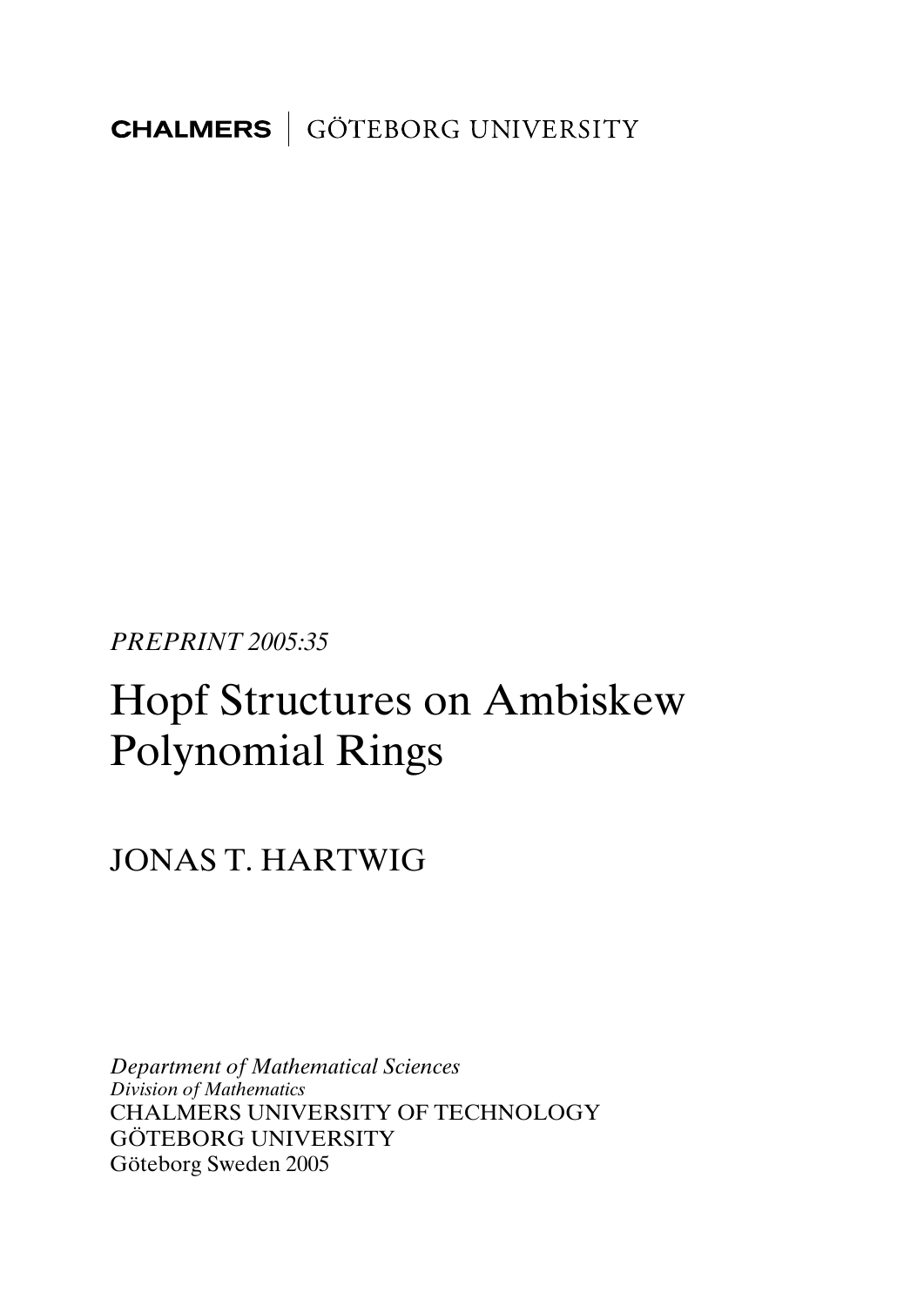**CHALMERS** GÖTEBORG UNIVERSITY

*PREPRINT 2005:35* 

# Hopf Structures on Ambiskew Polynomial Rings

# JONAS T. HARTWIG

*Department of Mathematical Sciences Division of Mathematics*  CHALMERS UNIVERSITY OF TECHNOLOGY GÖTEBORG UNIVERSITY Göteborg Sweden 2005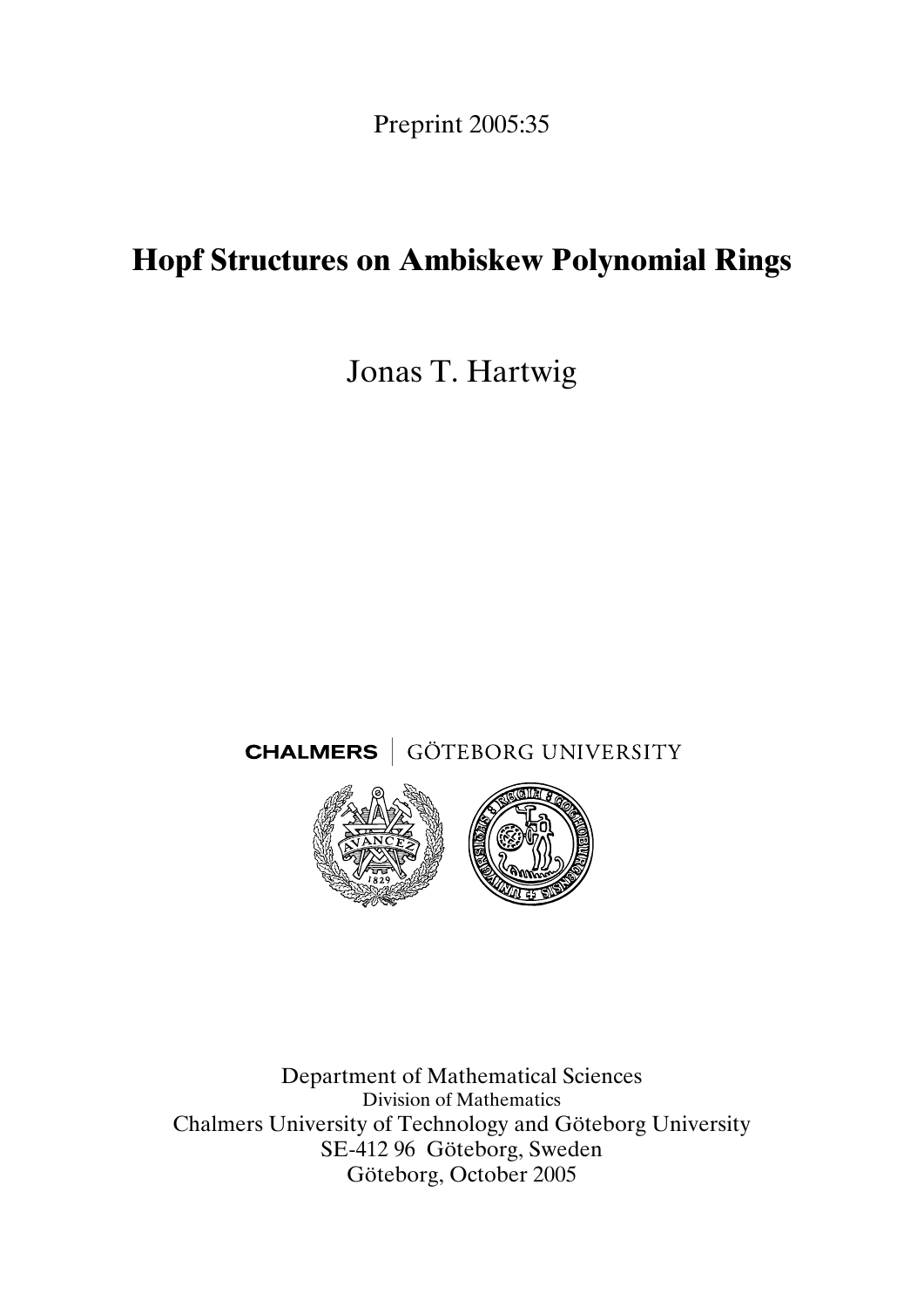Preprint 2005:35

# **Hopf Structures on Ambiskew Polynomial Rings**

Jonas T. Hartwig

**CHALMERS** GÖTEBORG UNIVERSITY



Department of Mathematical Sciences Division of Mathematics Chalmers University of Technology and Göteborg University SE-412 96 Göteborg, Sweden Göteborg, October 2005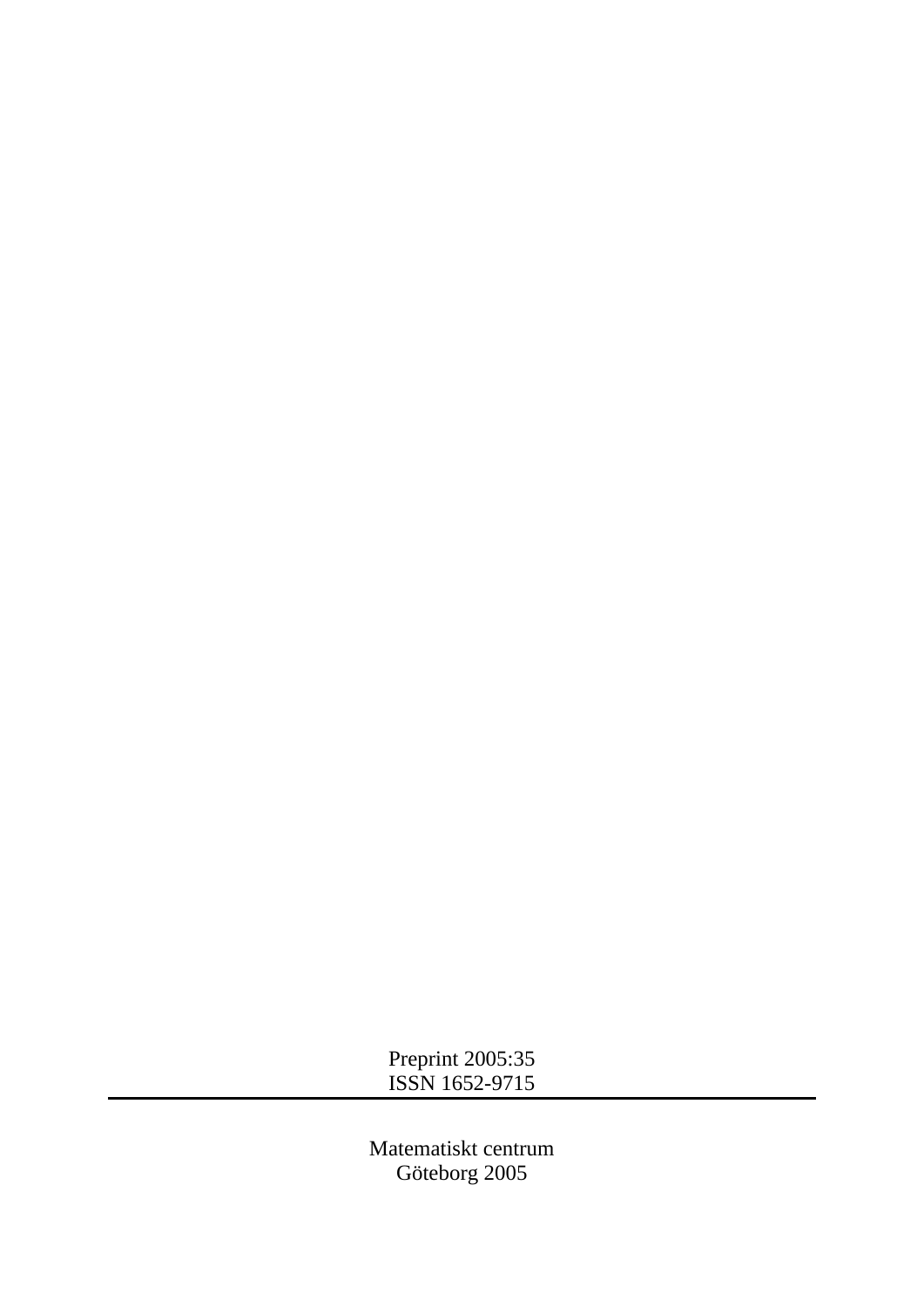Preprint 2005:35 ISSN 1652-9715

Matematiskt centrum Göteborg 2005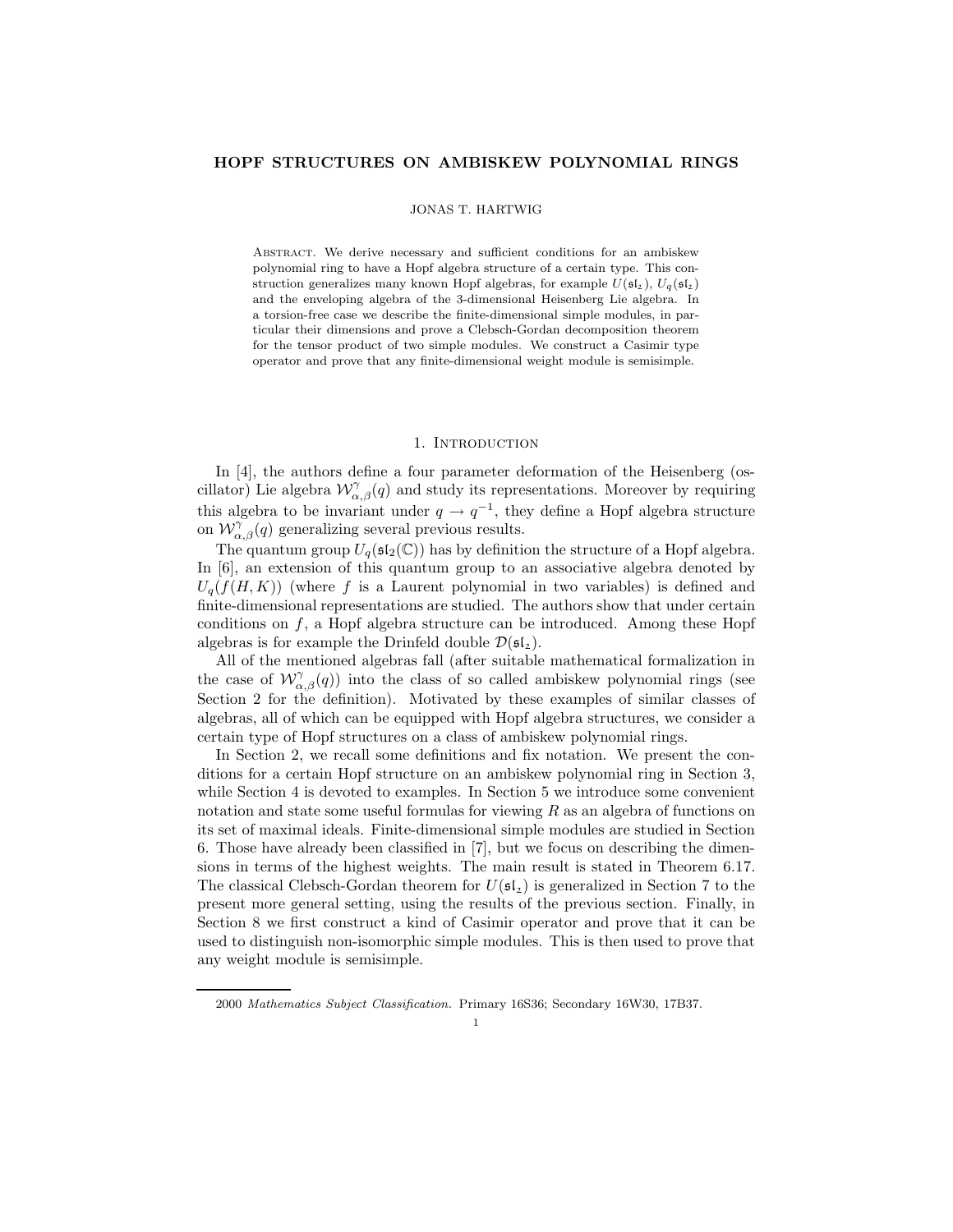## HOPF STRUCTURES ON AMBISKEW POLYNOMIAL RINGS

#### JONAS T. HARTWIG

Abstract. We derive necessary and sufficient conditions for an ambiskew polynomial ring to have a Hopf algebra structure of a certain type. This construction generalizes many known Hopf algebras, for example  $U(\mathfrak{sl}_2)$ ,  $U_q(\mathfrak{sl}_2)$ and the enveloping algebra of the 3-dimensional Heisenberg Lie algebra. In a torsion-free case we describe the finite-dimensional simple modules, in particular their dimensions and prove a Clebsch-Gordan decomposition theorem for the tensor product of two simple modules. We construct a Casimir type operator and prove that any finite-dimensional weight module is semisimple.

#### 1. INTRODUCTION

In [4], the authors define a four parameter deformation of the Heisenberg (oscillator) Lie algebra  $\mathcal{W}^{\gamma}_{\alpha,\beta}(q)$  and study its representations. Moreover by requiring this algebra to be invariant under  $q \to q^{-1}$ , they define a Hopf algebra structure on  $\mathcal{W}_{\alpha,\beta}^{\gamma}(q)$  generalizing several previous results.

The quantum group  $U_q(\mathfrak{sl}_2(\mathbb{C}))$  has by definition the structure of a Hopf algebra. In [6], an extension of this quantum group to an associative algebra denoted by  $U_q(f(H, K))$  (where f is a Laurent polynomial in two variables) is defined and finite-dimensional representations are studied. The authors show that under certain conditions on  $f$ , a Hopf algebra structure can be introduced. Among these Hopf algebras is for example the Drinfeld double  $\mathcal{D}(\mathfrak{sl}_2)$ .

All of the mentioned algebras fall (after suitable mathematical formalization in the case of  $\mathcal{W}^{\gamma}_{\alpha,\beta}(q)$ ) into the class of so called ambiskew polynomial rings (see Section 2 for the definition). Motivated by these examples of similar classes of algebras, all of which can be equipped with Hopf algebra structures, we consider a certain type of Hopf structures on a class of ambiskew polynomial rings.

In Section 2, we recall some definitions and fix notation. We present the conditions for a certain Hopf structure on an ambiskew polynomial ring in Section 3, while Section 4 is devoted to examples. In Section 5 we introduce some convenient notation and state some useful formulas for viewing  $R$  as an algebra of functions on its set of maximal ideals. Finite-dimensional simple modules are studied in Section 6. Those have already been classified in [7], but we focus on describing the dimensions in terms of the highest weights. The main result is stated in Theorem 6.17. The classical Clebsch-Gordan theorem for  $U(\mathfrak{sl}_2)$  is generalized in Section 7 to the present more general setting, using the results of the previous section. Finally, in Section 8 we first construct a kind of Casimir operator and prove that it can be used to distinguish non-isomorphic simple modules. This is then used to prove that any weight module is semisimple.

<sup>2000</sup> Mathematics Subject Classification. Primary 16S36; Secondary 16W30, 17B37.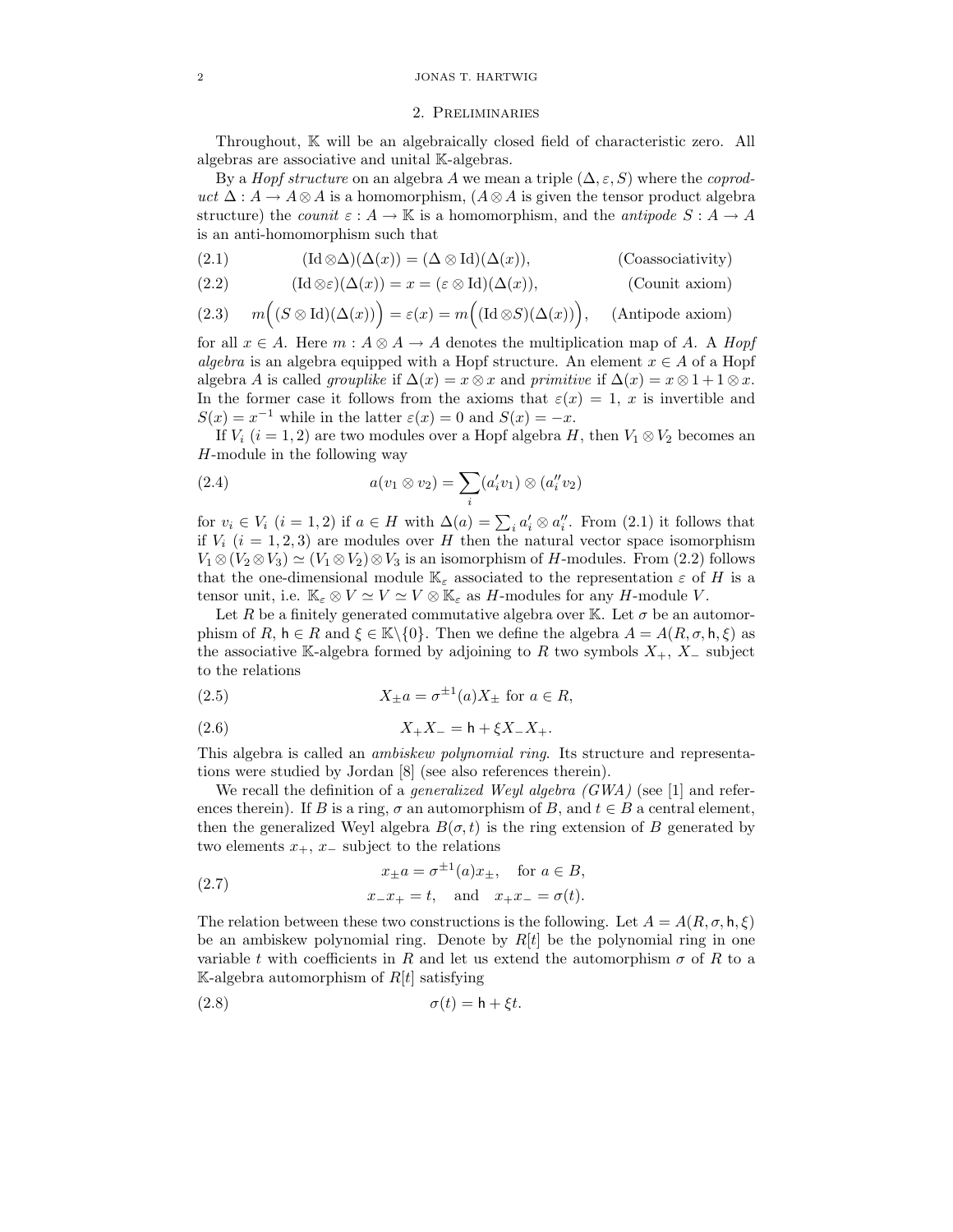#### 2 JONAS T. HARTWIG

#### 2. Preliminaries

Throughout, K will be an algebraically closed field of characteristic zero. All algebras are associative and unital K-algebras.

By a *Hopf structure* on an algebra A we mean a triple  $(\Delta, \varepsilon, S)$  where the *coprod*uct  $\Delta: A \to A \otimes A$  is a homomorphism,  $(A \otimes A)$  is given the tensor product algebra structure) the *counit*  $\varepsilon : A \to \mathbb{K}$  is a homomorphism, and the *antipode*  $S : A \to A$ is an anti-homomorphism such that

(2.1) 
$$
(\text{Id}\otimes\Delta)(\Delta(x)) = (\Delta\otimes\text{Id})(\Delta(x)),
$$
 (Coassociativity)

(2.2) 
$$
(\text{Id}\otimes\varepsilon)(\Delta(x)) = x = (\varepsilon\otimes\text{Id})(\Delta(x)),
$$
 (Count axiom)

(2.3) 
$$
m((S \otimes \text{Id})(\Delta(x))) = \varepsilon(x) = m((\text{Id} \otimes S)(\Delta(x)))
$$
, (Antipode axiom)

for all  $x \in A$ . Here  $m : A \otimes A \rightarrow A$  denotes the multiplication map of A. A Hopf algebra is an algebra equipped with a Hopf structure. An element  $x \in A$  of a Hopf algebra A is called *grouplike* if  $\Delta(x) = x \otimes x$  and *primitive* if  $\Delta(x) = x \otimes 1 + 1 \otimes x$ . In the former case it follows from the axioms that  $\varepsilon(x) = 1$ , x is invertible and  $S(x) = x^{-1}$  while in the latter  $\varepsilon(x) = 0$  and  $S(x) = -x$ .

If  $V_i$   $(i = 1, 2)$  are two modules over a Hopf algebra H, then  $V_1 \otimes V_2$  becomes an H-module in the following way

(2.4) 
$$
a(v_1 \otimes v_2) = \sum_i (a'_i v_1) \otimes (a''_i v_2)
$$

for  $v_i \in V_i$   $(i = 1, 2)$  if  $a \in H$  with  $\Delta(a) = \sum_i a'_i \otimes a''_i$ . From  $(2.1)$  it follows that if  $V_i$  ( $i = 1, 2, 3$ ) are modules over H then the natural vector space isomorphism  $V_1 \otimes (V_2 \otimes V_3) \simeq (V_1 \otimes V_2) \otimes V_3$  is an isomorphism of H-modules. From (2.2) follows that the one-dimensional module  $\mathbb{K}_{\varepsilon}$  associated to the representation  $\varepsilon$  of H is a tensor unit, i.e.  $\mathbb{K}_{\varepsilon} \otimes V \simeq V \simeq V \otimes \mathbb{K}_{\varepsilon}$  as *H*-modules for any *H*-module *V*.

Let R be a finitely generated commutative algebra over K. Let  $\sigma$  be an automorphism of R,  $h \in R$  and  $\xi \in \mathbb{K} \setminus \{0\}$ . Then we define the algebra  $A = A(R, \sigma, h, \xi)$  as the associative K-algebra formed by adjoining to R two symbols  $X_+$ ,  $X_-$  subject to the relations

(2.5) 
$$
X_{\pm}a = \sigma^{\pm 1}(a)X_{\pm} \text{ for } a \in R,
$$

(2.6) 
$$
X_{+}X_{-} = h + \xi X_{-}X_{+}.
$$

This algebra is called an ambiskew polynomial ring. Its structure and representations were studied by Jordan [8] (see also references therein).

We recall the definition of a *generalized Weyl algebra (GWA)* (see [1] and references therein). If B is a ring,  $\sigma$  an automorphism of B, and  $t \in B$  a central element, then the generalized Weyl algebra  $B(\sigma, t)$  is the ring extension of B generated by two elements  $x_+, x_$  subject to the relations

(2.7) 
$$
x_{\pm}a = \sigma^{\pm 1}(a)x_{\pm}, \text{ for } a \in B,
$$
  
 $x_{-}x_{+} = t, \text{ and } x_{+}x_{-} = \sigma(t).$ 

The relation between these two constructions is the following. Let  $A = A(R, \sigma, \mathsf{h}, \xi)$ be an ambiskew polynomial ring. Denote by  $R[t]$  be the polynomial ring in one variable t with coefficients in R and let us extend the automorphism  $\sigma$  of R to a K-algebra automorphism of  $R[t]$  satisfying

$$
\sigma(t) = \mathsf{h} + \xi t.
$$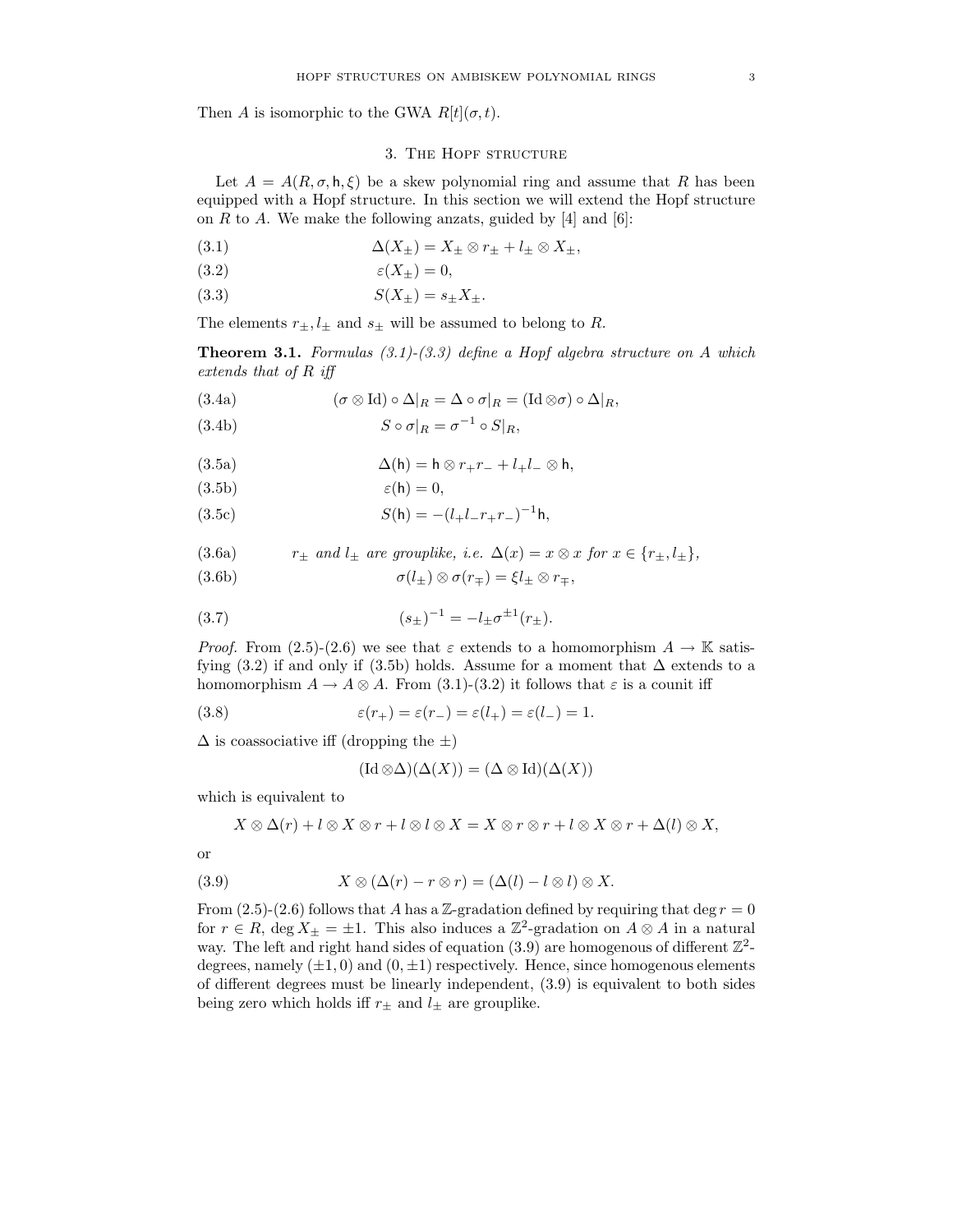Then A is isomorphic to the GWA  $R[t](\sigma, t)$ .

# 3. The Hopf structure

Let  $A = A(R, \sigma, \mathsf{h}, \xi)$  be a skew polynomial ring and assume that R has been equipped with a Hopf structure. In this section we will extend the Hopf structure on R to A. We make the following anzats, guided by  $[4]$  and  $[6]$ :

(3.1) 
$$
\Delta(X_{\pm}) = X_{\pm} \otimes r_{\pm} + l_{\pm} \otimes X_{\pm},
$$

$$
(3.2) \t\t \varepsilon(X_{\pm}) = 0,
$$

(3.3) 
$$
S(X_{\pm}) = s_{\pm} X_{\pm}.
$$

The elements  $r_{\pm}$ ,  $l_{\pm}$  and  $s_{\pm}$  will be assumed to belong to R.

**Theorem 3.1.** Formulas  $(3.1)-(3.3)$  define a Hopf algebra structure on A which extends that of R iff

(3.4a) 
$$
(\sigma \otimes \text{Id}) \circ \Delta|_{R} = \Delta \circ \sigma|_{R} = (\text{Id} \otimes \sigma) \circ \Delta|_{R},
$$

$$
S \circ \sigma|_{R} = \sigma^{-1} \circ S|_{R},
$$

(3.5a) 
$$
\Delta(h) = h \otimes r_+ r_- + l_+ l_- \otimes h,
$$

$$
(3.5b)\qquad \qquad \varepsilon(\mathsf{h})=0,
$$

(3.5c) 
$$
S(h) = -(l_{+}l_{-}r_{+}r_{-})^{-1}h,
$$

(3.6a) 
$$
r_{\pm}
$$
 and  $l_{\pm}$  are grouplike, i.e.  $\Delta(x) = x \otimes x$  for  $x \in \{r_{\pm}, l_{\pm}\},$ 

(3.6b) 
$$
\sigma(l_{\pm}) \otimes \sigma(r_{\mp}) = \xi l_{\pm} \otimes r_{\mp},
$$

(3.7) 
$$
(s_{\pm})^{-1} = -l_{\pm} \sigma^{\pm 1}(r_{\pm}).
$$

*Proof.* From (2.5)-(2.6) we see that  $\varepsilon$  extends to a homomorphism  $A \to \mathbb{K}$  satisfying (3.2) if and only if (3.5b) holds. Assume for a moment that  $\Delta$  extends to a homomorphism  $A \to A \otimes A$ . From (3.1)-(3.2) it follows that  $\varepsilon$  is a counit iff

(3.8) 
$$
\varepsilon(r_{+}) = \varepsilon(r_{-}) = \varepsilon(l_{+}) = \varepsilon(l_{-}) = 1.
$$

 $\Delta$  is coassociative iff (dropping the  $\pm$ )

$$
(\mathrm{Id}\otimes\Delta)(\Delta(X))=(\Delta\otimes\mathrm{Id})(\Delta(X))
$$

which is equivalent to

$$
X\otimes\Delta(r)+l\otimes X\otimes r+l\otimes l\otimes X=X\otimes r\otimes r+l\otimes X\otimes r+\Delta(l)\otimes X,
$$

or

(3.9) 
$$
X \otimes (\Delta(r) - r \otimes r) = (\Delta(l) - l \otimes l) \otimes X.
$$

From (2.5)-(2.6) follows that A has a Z-gradation defined by requiring that deg  $r = 0$ for  $r \in R$ , deg  $X_{\pm} = \pm 1$ . This also induces a  $\mathbb{Z}^2$ -gradation on  $A \otimes A$  in a natural way. The left and right hand sides of equation  $(3.9)$  are homogenous of different  $\mathbb{Z}^2$ degrees, namely  $(\pm 1, 0)$  and  $(0, \pm 1)$  respectively. Hence, since homogenous elements of different degrees must be linearly independent, (3.9) is equivalent to both sides being zero which holds iff  $r_{\pm}$  and  $l_{\pm}$  are grouplike.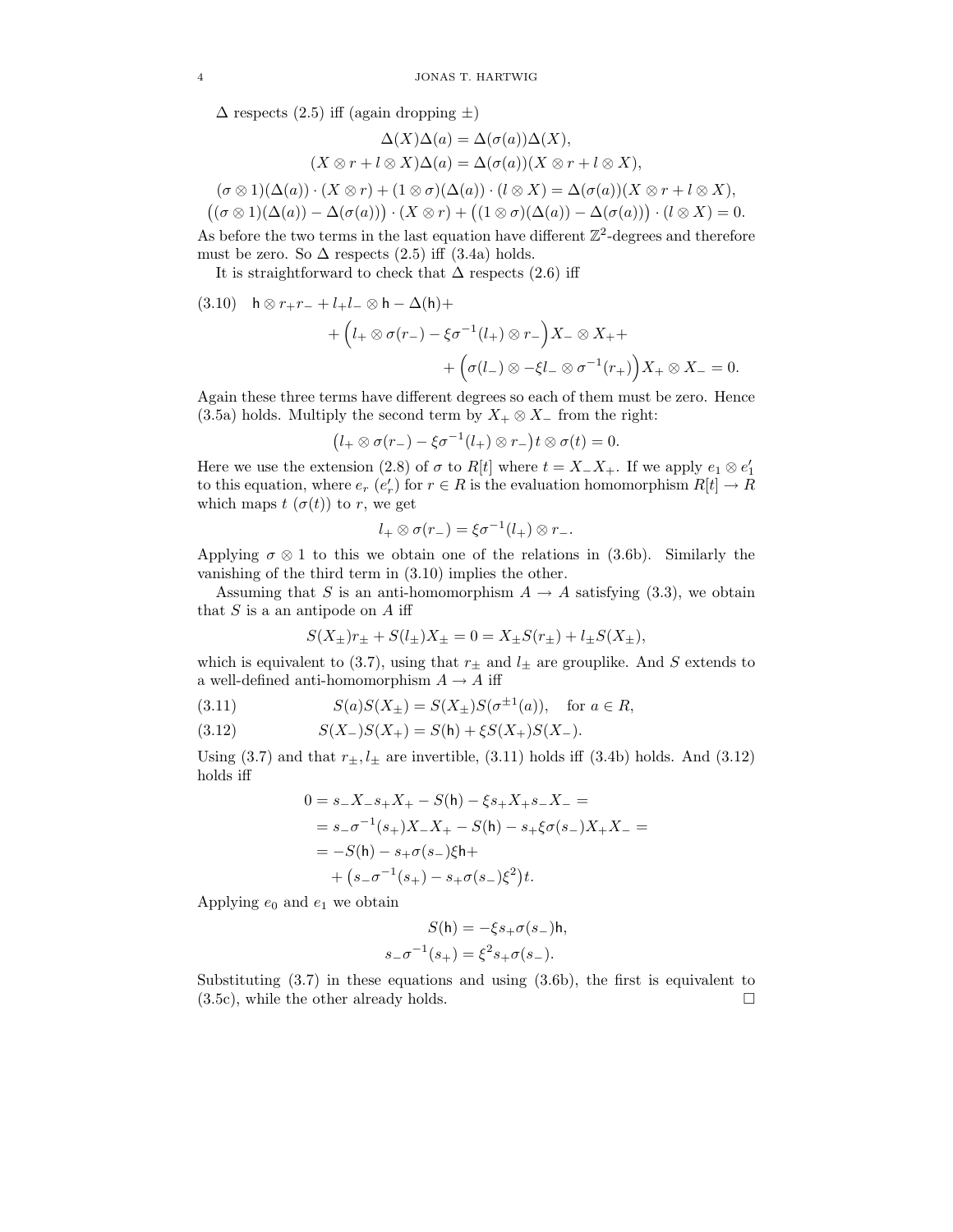$\Delta$  respects (2.5) iff (again dropping  $\pm$ )

$$
\Delta(X)\Delta(a) = \Delta(\sigma(a))\Delta(X),
$$
  
\n
$$
(X \otimes r + l \otimes X)\Delta(a) = \Delta(\sigma(a))(X \otimes r + l \otimes X),
$$
  
\n
$$
(\sigma \otimes 1)(\Delta(a)) \cdot (X \otimes r) + (1 \otimes \sigma)(\Delta(a)) \cdot (l \otimes X) = \Delta(\sigma(a))(X \otimes r + l \otimes X),
$$
  
\n
$$
((\sigma \otimes 1)(\Delta(a)) - \Delta(\sigma(a))) \cdot (X \otimes r) + ((1 \otimes \sigma)(\Delta(a)) - \Delta(\sigma(a))) \cdot (l \otimes X) = 0.
$$

As before the two terms in the last equation have different  $\mathbb{Z}^2$ -degrees and therefore must be zero. So  $\Delta$  respects (2.5) iff (3.4a) holds.

It is straightforward to check that  $\Delta$  respects (2.6) iff

(3.10) 
$$
\begin{aligned} \mathsf{h} \otimes r_+ r_- + l_+ l_- \otimes \mathsf{h} - \Delta(\mathsf{h}) + \\ &+ \left( l_+ \otimes \sigma(r_-) - \xi \sigma^{-1}(l_+) \otimes r_- \right) X_- \otimes X_+ + \\ &+ \left( \sigma(l_-) \otimes -\xi l_- \otimes \sigma^{-1}(r_+) \right) X_+ \otimes X_- = 0. \end{aligned}
$$

Again these three terms have different degrees so each of them must be zero. Hence (3.5a) holds. Multiply the second term by  $X_+ \otimes X_+$  from the right:

$$
(l_+ \otimes \sigma(r_-) - \xi \sigma^{-1}(l_+) \otimes r_-) t \otimes \sigma(t) = 0.
$$

Here we use the extension (2.8) of  $\sigma$  to  $R[t]$  where  $t = X_-X_+$ . If we apply  $e_1 \otimes e'_1$ to this equation, where  $e_r$   $(e'_r)$  for  $r \in R$  is the evaluation homomorphism  $R[t] \to R$ which maps  $t(\sigma(t))$  to r, we get

$$
l_+ \otimes \sigma(r_-) = \xi \sigma^{-1}(l_+) \otimes r_-.
$$

Applying  $\sigma \otimes 1$  to this we obtain one of the relations in (3.6b). Similarly the vanishing of the third term in (3.10) implies the other.

Assuming that S is an anti-homomorphism  $A \to A$  satisfying (3.3), we obtain that  $S$  is a an antipode on  $A$  iff

$$
S(X_{\pm})r_{\pm} + S(l_{\pm})X_{\pm} = 0 = X_{\pm}S(r_{\pm}) + l_{\pm}S(X_{\pm}),
$$

which is equivalent to (3.7), using that  $r_{\pm}$  and  $l_{\pm}$  are grouplike. And S extends to a well-defined anti-homomorphism  $A \to A$  iff

(3.11) 
$$
S(a)S(X_{\pm}) = S(X_{\pm})S(\sigma^{\pm 1}(a)), \text{ for } a \in R,
$$

(3.12) 
$$
S(X_{-})S(X_{+}) = S(h) + \xi S(X_{+})S(X_{-}).
$$

Using  $(3.7)$  and that  $r_{\pm}$ ,  $l_{\pm}$  are invertible,  $(3.11)$  holds iff  $(3.4b)$  holds. And  $(3.12)$ holds iff

$$
0 = s_{-}X_{-}s_{+}X_{+} - S(\mathsf{h}) - \xi s_{+}X_{+}s_{-}X_{-} =
$$
  
=  $s_{-}\sigma^{-1}(s_{+})X_{-}X_{+} - S(\mathsf{h}) - s_{+}\xi\sigma(s_{-})X_{+}X_{-} =$   
=  $-S(\mathsf{h}) - s_{+}\sigma(s_{-})\xi\mathsf{h} +$   
+  $(s_{-}\sigma^{-1}(s_{+}) - s_{+}\sigma(s_{-})\xi^{2})t$ .

Applying  $e_0$  and  $e_1$  we obtain

$$
S(\mathsf{h}) = -\xi s_+\sigma(s_-)\mathsf{h},
$$
  

$$
s_-\sigma^{-1}(s_+) = \xi^2 s_+\sigma(s_-).
$$

Substituting (3.7) in these equations and using (3.6b), the first is equivalent to  $(3.5c)$ , while the other already holds.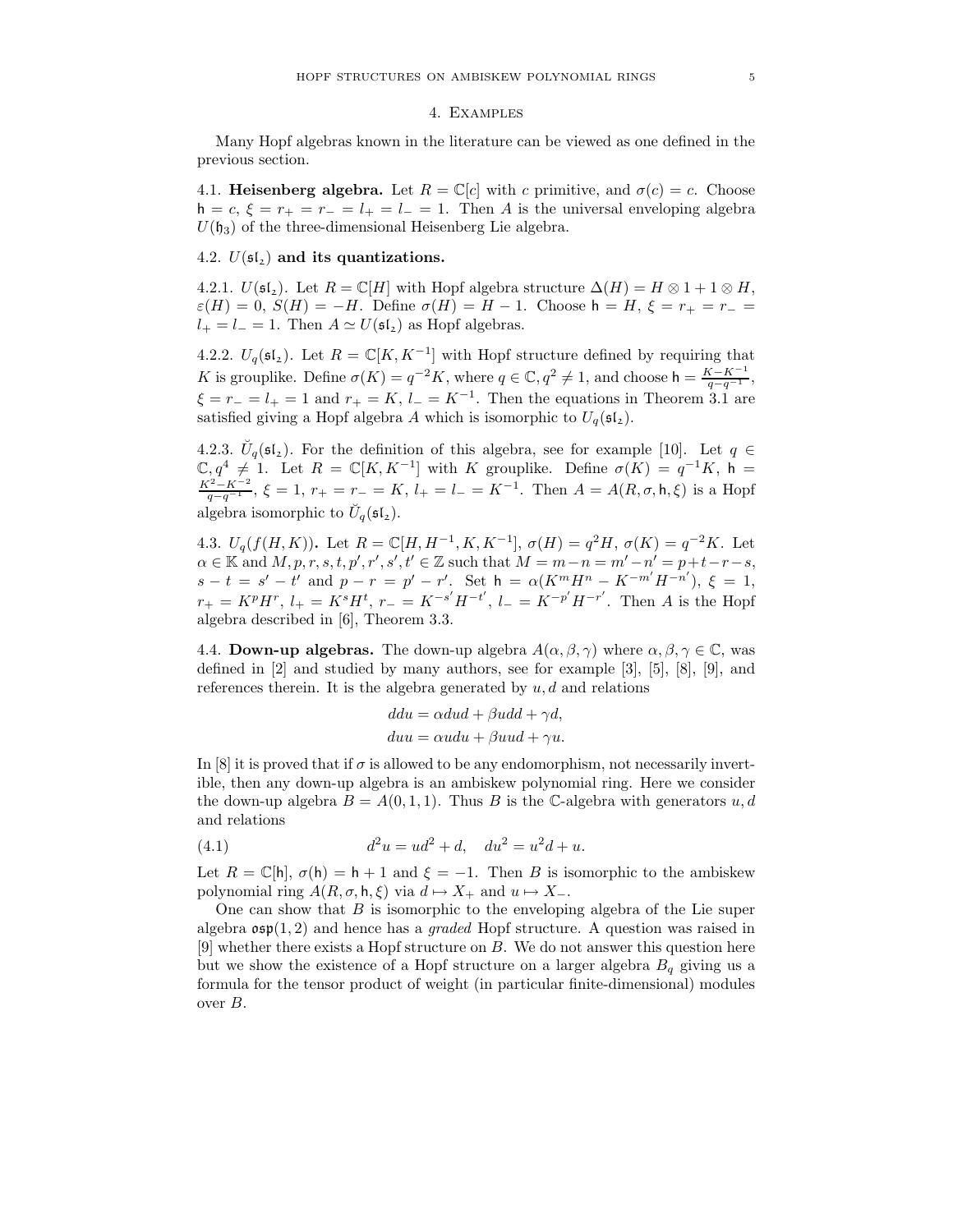### 4. Examples

Many Hopf algebras known in the literature can be viewed as one defined in the previous section.

4.1. Heisenberg algebra. Let  $R = \mathbb{C}[c]$  with c primitive, and  $\sigma(c) = c$ . Choose  $h = c, \xi = r_+ = r_- = l_+ = l_- = 1$ . Then A is the universal enveloping algebra  $U(\mathfrak{h}_3)$  of the three-dimensional Heisenberg Lie algebra.

## 4.2.  $U(\mathfrak{sl}_2)$  and its quantizations.

4.2.1.  $U(\mathfrak{sl}_2)$ . Let  $R = \mathbb{C}[H]$  with Hopf algebra structure  $\Delta(H) = H \otimes 1 + 1 \otimes H$ ,  $\varepsilon(H) = 0$ ,  $S(H) = -H$ . Define  $\sigma(H) = H - 1$ . Choose  $h = H, \xi = r_+ = r_- =$  $l_{+} = l_{-} = 1$ . Then  $A \simeq U(\mathfrak{sl}_2)$  as Hopf algebras.

4.2.2.  $U_q(\mathfrak{sl}_2)$ . Let  $R = \mathbb{C}[K, K^{-1}]$  with Hopf structure defined by requiring that K is grouplike. Define  $\sigma(K) = q^{-2}K$ , where  $q \in \mathbb{C}$ ,  $q^2 \neq 1$ , and choose  $h = \frac{K - K^{-1}}{q - q^{-1}}$ ,  $\xi = r_+ = l_+ = 1$  and  $r_+ = K$ ,  $l_- = K^{-1}$ . Then the equations in Theorem 3.1 are satisfied giving a Hopf algebra A which is isomorphic to  $U_q(\mathfrak{sl}_2)$ .

4.2.3.  $\check{U}_q(\mathfrak{sl}_2)$ . For the definition of this algebra, see for example [10]. Let  $q \in$  $\mathbb{C}, q^4 \neq 1$ . Let  $R = \mathbb{C}[K, K^{-1}]$  with K grouplike. Define  $\sigma(K) = q^{-1}K$ , h =  $\frac{K^2 - K^{-2}}{q - q^{-1}}, \xi = 1, r_+ = r_- = K, l_+ = l_- = K^{-1}$ . Then  $A = A(R, \sigma, \mathsf{h}, \xi)$  is a Hopf algebra isomorphic to  $\breve{U}_q(\mathfrak{sl}_2)$ .

4.3.  $U_q(f(H,K))$ . Let  $R = \mathbb{C}[H, H^{-1}, K, K^{-1}], \sigma(H) = q^2 H, \sigma(K) = q^{-2} K$ . Let  $\alpha \in \mathbb{K}$  and  $M, p, r, s, t, p', r', s', t' \in \mathbb{Z}$  such that  $M = m - n = m' - n' = p + t - r - s$ ,  $s-t = s'-t'$  and  $p-r = p'-r'$ . Set  $h = \alpha(K^m H^n - K^{-m'} H^{-n'})$ ,  $\xi = 1$ ,  $r_{+} = K^{p}H^{r}$ ,  $l_{+} = K^{s}H^{t}$ ,  $r_{-} = K^{-s'}H^{-t'}$ ,  $l_{-} = K^{-p'}H^{-r'}$ . Then A is the Hopf algebra described in [6], Theorem 3.3.

4.4. **Down-up algebras.** The down-up algebra  $A(\alpha, \beta, \gamma)$  where  $\alpha, \beta, \gamma \in \mathbb{C}$ , was defined in [2] and studied by many authors, see for example [3], [5], [8], [9], and references therein. It is the algebra generated by  $u, d$  and relations

$$
ddu = \alpha dud + \beta udd + \gamma d,
$$
  

$$
duu = \alpha udu + \beta uud + \gamma u.
$$

In [8] it is proved that if  $\sigma$  is allowed to be any endomorphism, not necessarily invertible, then any down-up algebra is an ambiskew polynomial ring. Here we consider the down-up algebra  $B = A(0, 1, 1)$ . Thus B is the C-algebra with generators  $u, d$ and relations

(4.1) 
$$
d^2u = ud^2 + d, \quad du^2 = u^2d + u.
$$

Let  $R = \mathbb{C}[\mathsf{h}], \sigma(\mathsf{h}) = \mathsf{h} + 1$  and  $\xi = -1$ . Then B is isomorphic to the ambiskew polynomial ring  $A(R, \sigma, \mathsf{h}, \xi)$  via  $d \mapsto X_+$  and  $u \mapsto X_-$ .

One can show that  $B$  is isomorphic to the enveloping algebra of the Lie super algebra  $\mathfrak{osp}(1,2)$  and hence has a *graded* Hopf structure. A question was raised in [9] whether there exists a Hopf structure on B. We do not answer this question here but we show the existence of a Hopf structure on a larger algebra  $B<sub>q</sub>$  giving us a formula for the tensor product of weight (in particular finite-dimensional) modules over B.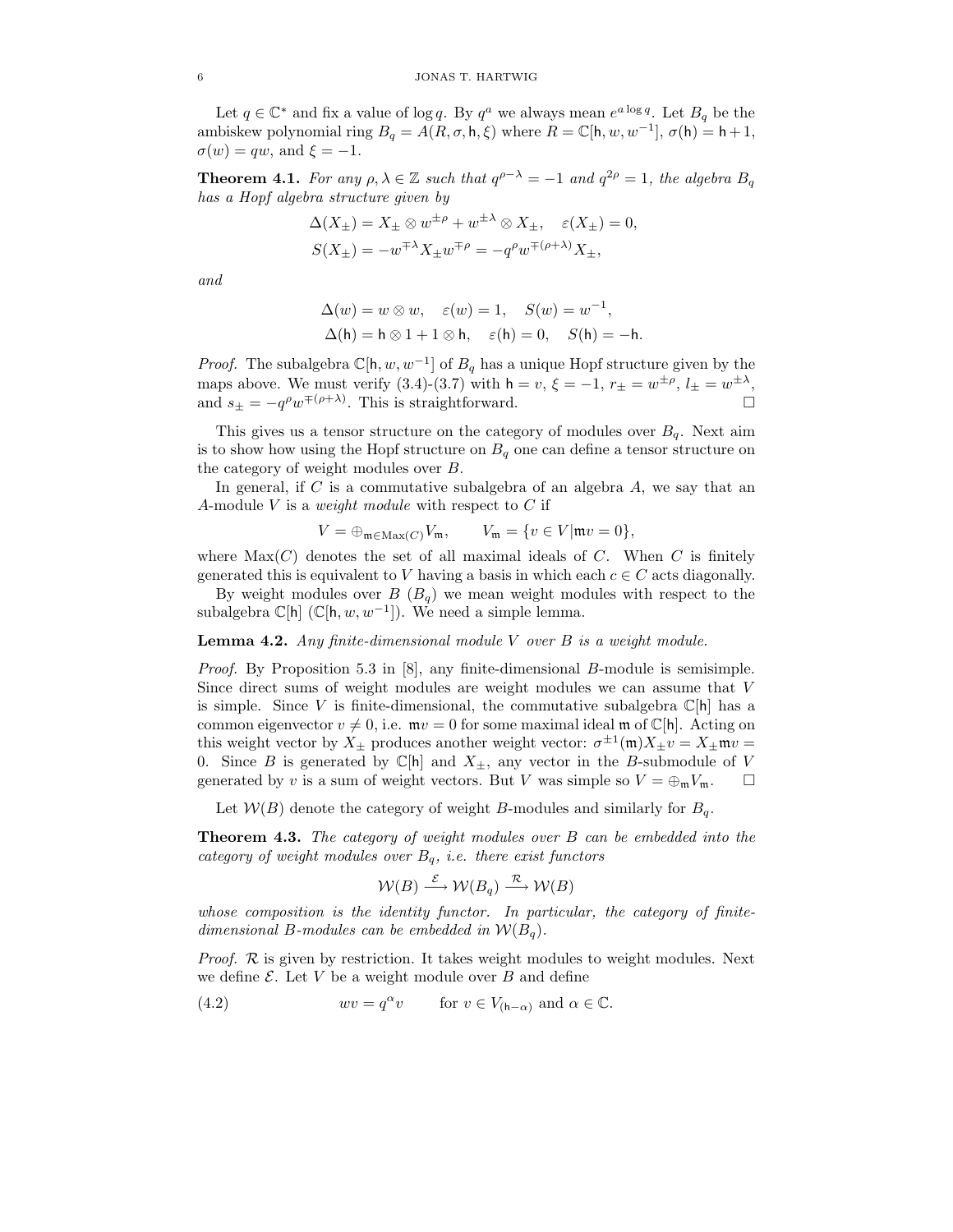Let  $q \in \mathbb{C}^*$  and fix a value of log q. By  $q^a$  we always mean  $e^{a \log q}$ . Let  $B_q$  be the ambiskew polynomial ring  $B_q = A(R, \sigma, \mathsf{h}, \xi)$  where  $R = \mathbb{C}[\mathsf{h}, w, w^{-1}], \sigma(\mathsf{h}) = \mathsf{h} + 1$ ,  $\sigma(w) = qw$ , and  $\xi = -1$ .

**Theorem 4.1.** For any  $\rho, \lambda \in \mathbb{Z}$  such that  $q^{\rho-\lambda} = -1$  and  $q^{2\rho} = 1$ , the algebra  $B_q$ has a Hopf algebra structure given by

$$
\Delta(X_{\pm}) = X_{\pm} \otimes w^{\pm \rho} + w^{\pm \lambda} \otimes X_{\pm}, \quad \varepsilon(X_{\pm}) = 0,
$$
  

$$
S(X_{\pm}) = -w^{\mp \lambda} X_{\pm} w^{\mp \rho} = -q^{\rho} w^{\mp (\rho + \lambda)} X_{\pm},
$$

and

$$
\Delta(w) = w \otimes w, \quad \varepsilon(w) = 1, \quad S(w) = w^{-1},
$$
  
 
$$
\Delta(h) = h \otimes 1 + 1 \otimes h, \quad \varepsilon(h) = 0, \quad S(h) = -h.
$$

*Proof.* The subalgebra  $\mathbb{C}[\mathsf{h}, w, w^{-1}]$  of  $B_q$  has a unique Hopf structure given by the maps above. We must verify  $(3.4)-(3.7)$  with  $h = v, \xi = -1, r_{\pm} = w^{\pm \rho}, l_{\pm} = w^{\pm \lambda},$ and  $s_{\pm} = -q^{\rho} w^{\mp(\rho+\lambda)}$ . This is straightforward.

This gives us a tensor structure on the category of modules over  $B<sub>q</sub>$ . Next aim is to show how using the Hopf structure on  $B<sub>q</sub>$  one can define a tensor structure on the category of weight modules over B.

In general, if  $C$  is a commutative subalgebra of an algebra  $A$ , we say that an A-module V is a *weight module* with respect to  $C$  if

$$
V = \bigoplus_{\mathfrak{m} \in \text{Max}(C)} V_{\mathfrak{m}}, \qquad V_{\mathfrak{m}} = \{ v \in V | \mathfrak{m}v = 0 \},
$$

where  $\text{Max}(C)$  denotes the set of all maximal ideals of C. When C is finitely generated this is equivalent to V having a basis in which each  $c \in C$  acts diagonally.

By weight modules over  $B(B_q)$  we mean weight modules with respect to the subalgebra  $\mathbb{C}[\mathsf{h}](\mathbb{C}[\mathsf{h}, w, w^{-1}])$ . We need a simple lemma.

### **Lemma 4.2.** Any finite-dimensional module  $V$  over  $B$  is a weight module.

Proof. By Proposition 5.3 in [8], any finite-dimensional B-module is semisimple. Since direct sums of weight modules are weight modules we can assume that V is simple. Since V is finite-dimensional, the commutative subalgebra  $\mathbb{C}[h]$  has a common eigenvector  $v \neq 0$ , i.e.  $mv = 0$  for some maximal ideal m of C[h]. Acting on this weight vector by  $X_{\pm}$  produces another weight vector:  $\sigma^{\pm 1}(\mathfrak{m})X_{\pm}v = X_{\pm}\mathfrak{m}v =$ 0. Since B is generated by  $\mathbb{C}[\mathsf{h}]$  and  $X_{\pm}$ , any vector in the B-submodule of V generated by v is a sum of weight vectors. But V was simple so  $V = \bigoplus_{m} V_m$ .  $\Box$ 

Let  $W(B)$  denote the category of weight B-modules and similarly for  $B<sub>q</sub>$ .

Theorem 4.3. The category of weight modules over B can be embedded into the category of weight modules over  $B_q$ , i.e. there exist functors

$$
\mathcal{W}(B) \stackrel{\mathcal{E}}{\longrightarrow} \mathcal{W}(B_q) \stackrel{\mathcal{R}}{\longrightarrow} \mathcal{W}(B)
$$

whose composition is the identity functor. In particular, the category of finitedimensional B-modules can be embedded in  $\mathcal{W}(B_q)$ .

Proof. R is given by restriction. It takes weight modules to weight modules. Next we define  $\mathcal{E}$ . Let V be a weight module over B and define

(4.2) 
$$
wv = q^{\alpha}v
$$
 for  $v \in V_{(\mathsf{h}-\alpha)}$  and  $\alpha \in \mathbb{C}$ .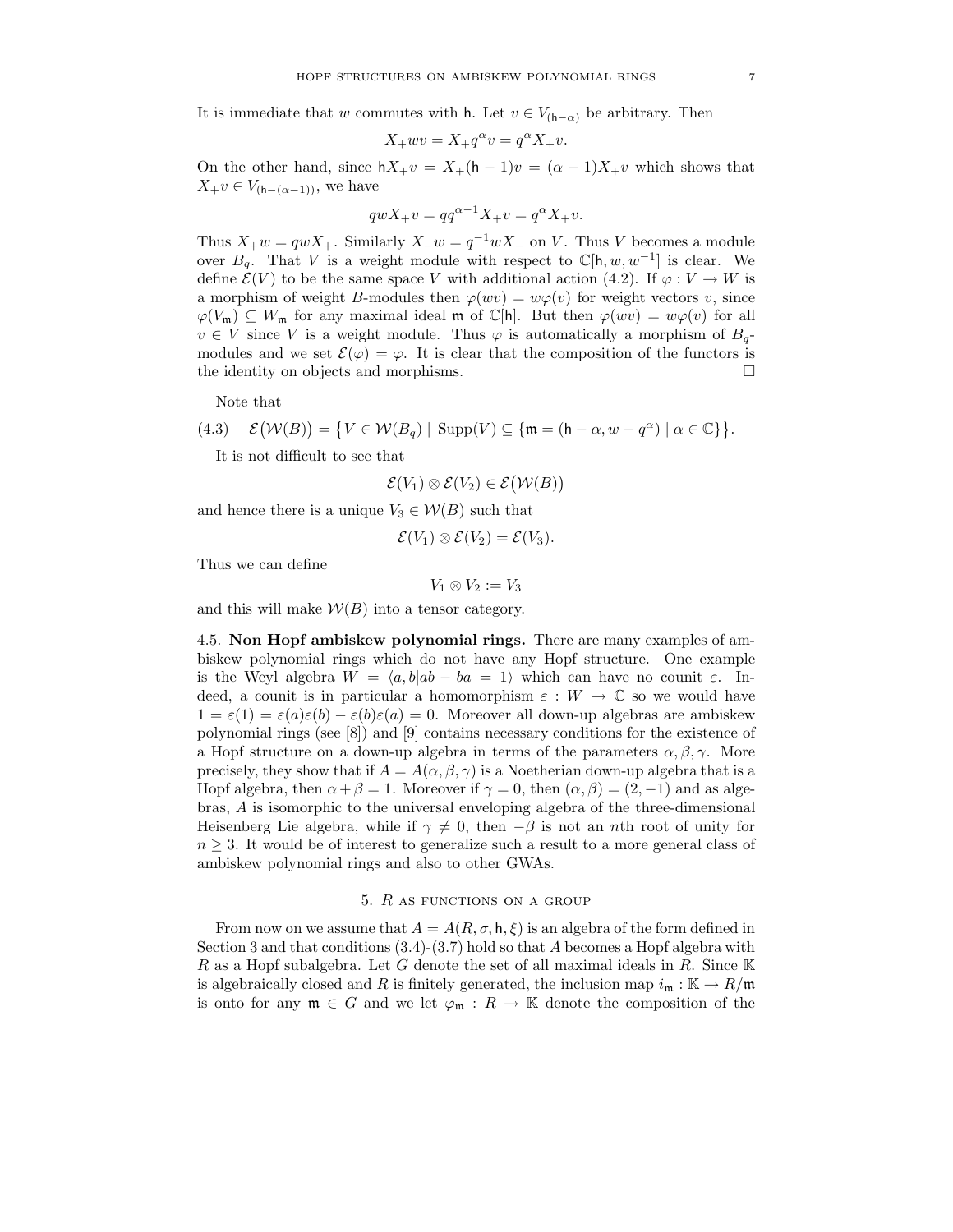It is immediate that w commutes with h. Let  $v \in V_{(h-\alpha)}$  be arbitrary. Then

$$
X_+ w v = X_+ q^{\alpha} v = q^{\alpha} X_+ v.
$$

On the other hand, since  $hX_+v = X_+(h-1)v = (\alpha-1)X_+v$  which shows that  $X_+v \in V_{(h-(\alpha-1))}$ , we have

$$
qwX_{+}v = qq^{\alpha - 1}X_{+}v = q^{\alpha}X_{+}v.
$$

Thus  $X_+w = qwX_+$ . Similarly  $X_-w = q^{-1}wX_-$  on V. Thus V becomes a module over  $B_q$ . That V is a weight module with respect to  $\mathbb{C}[\mathsf{h}, w, w^{-1}]$  is clear. We define  $\mathcal{E}(V)$  to be the same space V with additional action (4.2). If  $\varphi: V \to W$  is a morphism of weight B-modules then  $\varphi(wv) = w\varphi(v)$  for weight vectors v, since  $\varphi(V_m) \subseteq W_m$  for any maximal ideal m of C[h]. But then  $\varphi(wv) = w\varphi(v)$  for all  $v \in V$  since V is a weight module. Thus  $\varphi$  is automatically a morphism of  $B_{q}$ modules and we set  $\mathcal{E}(\varphi) = \varphi$ . It is clear that the composition of the functors is the identity on objects and morphisms.

Note that

(4.3) 
$$
\mathcal{E}(\mathcal{W}(B)) = \{ V \in \mathcal{W}(B_q) \mid \text{Supp}(V) \subseteq \{ \mathfrak{m} = (\mathfrak{h} - \alpha, w - q^{\alpha}) \mid \alpha \in \mathbb{C} \} \}.
$$

It is not difficult to see that

$$
\mathcal{E}(V_1) \otimes \mathcal{E}(V_2) \in \mathcal{E}(\mathcal{W}(B))
$$

and hence there is a unique  $V_3 \in \mathcal{W}(B)$  such that

$$
\mathcal{E}(V_1) \otimes \mathcal{E}(V_2) = \mathcal{E}(V_3).
$$

Thus we can define

$$
V_1\otimes V_2:=V_3
$$

and this will make  $W(B)$  into a tensor category.

4.5. Non Hopf ambiskew polynomial rings. There are many examples of ambiskew polynomial rings which do not have any Hopf structure. One example is the Weyl algebra  $W = \langle a, b | ab - ba = 1 \rangle$  which can have no counit  $\varepsilon$ . Indeed, a counit is in particular a homomorphism  $\varepsilon : W \to \mathbb{C}$  so we would have  $1 = \varepsilon(1) = \varepsilon(a)\varepsilon(b) - \varepsilon(b)\varepsilon(a) = 0$ . Moreover all down-up algebras are ambiskew polynomial rings (see [8]) and [9] contains necessary conditions for the existence of a Hopf structure on a down-up algebra in terms of the parameters  $\alpha, \beta, \gamma$ . More precisely, they show that if  $A = A(\alpha, \beta, \gamma)$  is a Noetherian down-up algebra that is a Hopf algebra, then  $\alpha + \beta = 1$ . Moreover if  $\gamma = 0$ , then  $(\alpha, \beta) = (2, -1)$  and as algebras, A is isomorphic to the universal enveloping algebra of the three-dimensional Heisenberg Lie algebra, while if  $\gamma \neq 0$ , then  $-\beta$  is not an nth root of unity for  $n \geq 3$ . It would be of interest to generalize such a result to a more general class of ambiskew polynomial rings and also to other GWAs.

#### 5. R as functions on a group

From now on we assume that  $A = A(R, \sigma, h, \xi)$  is an algebra of the form defined in Section 3 and that conditions  $(3.4)-(3.7)$  hold so that A becomes a Hopf algebra with R as a Hopf subalgebra. Let G denote the set of all maximal ideals in R. Since  $K$ is algebraically closed and R is finitely generated, the inclusion map  $i_{\mathfrak{m}} : \mathbb{K} \to R/\mathfrak{m}$ is onto for any  $\mathfrak{m} \in G$  and we let  $\varphi_{\mathfrak{m}} : R \to \mathbb{K}$  denote the composition of the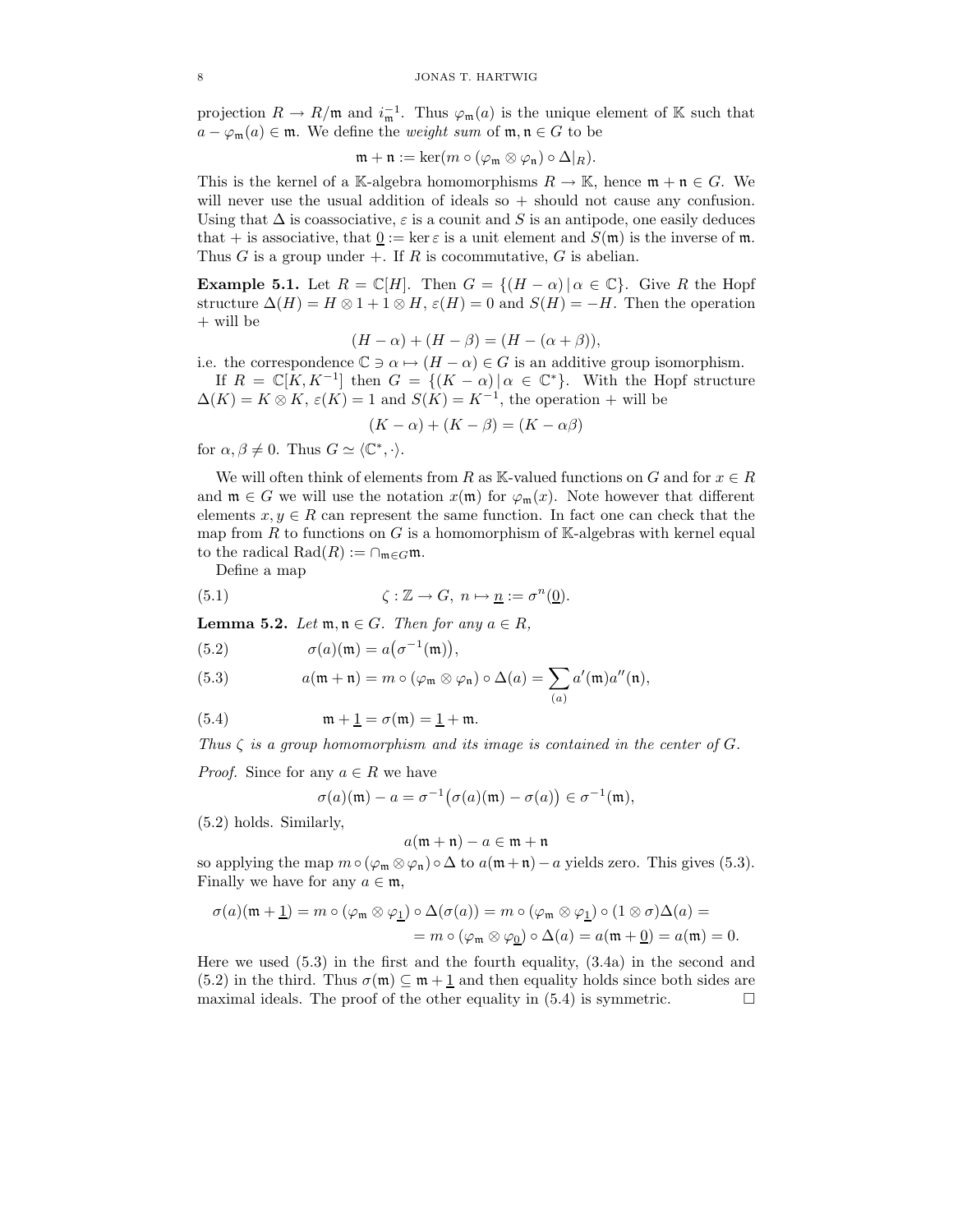projection  $R \to R/\mathfrak{m}$  and  $i_{\mathfrak{m}}^{-1}$ . Thus  $\varphi_{\mathfrak{m}}(a)$  is the unique element of K such that  $a - \varphi_{\mathfrak{m}}(a) \in \mathfrak{m}$ . We define the *weight sum* of  $\mathfrak{m}, \mathfrak{n} \in G$  to be

$$
\mathfrak{m} + \mathfrak{n} := \ker(m \circ (\varphi_{\mathfrak{m}} \otimes \varphi_{\mathfrak{n}}) \circ \Delta|_{R}).
$$

This is the kernel of a K-algebra homomorphisms  $R \to \mathbb{K}$ , hence  $\mathfrak{m} + \mathfrak{n} \in G$ . We will never use the usual addition of ideals so  $+$  should not cause any confusion. Using that  $\Delta$  is coassociative,  $\varepsilon$  is a counit and S is an antipode, one easily deduces that + is associative, that  $0 := \ker \varepsilon$  is a unit element and  $S(\mathfrak{m})$  is the inverse of  $\mathfrak{m}$ . Thus G is a group under  $+$ . If R is cocommutative, G is abelian.

**Example 5.1.** Let  $R = \mathbb{C}[H]$ . Then  $G = \{(H - \alpha) | \alpha \in \mathbb{C}\}$ . Give R the Hopf structure  $\Delta(H) = H \otimes 1 + 1 \otimes H$ ,  $\varepsilon(H) = 0$  and  $S(H) = -H$ . Then the operation + will be

$$
(H - \alpha) + (H - \beta) = (H - (\alpha + \beta)),
$$

i.e. the correspondence  $\mathbb{C} \ni \alpha \mapsto (H - \alpha) \in G$  is an additive group isomorphism.

If  $R = \mathbb{C}[K, K^{-1}]$  then  $G = \{(K - \alpha) | \alpha \in \mathbb{C}^*\}$ . With the Hopf structure  $\Delta(K) = K \otimes K$ ,  $\varepsilon(K) = 1$  and  $S(K) = K^{-1}$ , the operation + will be

$$
(K - \alpha) + (K - \beta) = (K - \alpha\beta)
$$

for  $\alpha, \beta \neq 0$ . Thus  $G \simeq \langle \mathbb{C}^*, \cdot \rangle$ .

We will often think of elements from R as K-valued functions on G and for  $x \in R$ and  $\mathfrak{m} \in G$  we will use the notation  $x(\mathfrak{m})$  for  $\varphi_{\mathfrak{m}}(x)$ . Note however that different elements  $x, y \in R$  can represent the same function. In fact one can check that the map from R to functions on G is a homomorphism of K-algebras with kernel equal to the radical Rad $(R) := \cap_{\mathfrak{m} \in G} \mathfrak{m}$ .

Define a map

(5.1) 
$$
\zeta : \mathbb{Z} \to G, \ n \mapsto \underline{n} := \sigma^n(\underline{0}).
$$

**Lemma 5.2.** Let  $\mathfrak{m}, \mathfrak{n} \in G$ . Then for any  $a \in R$ ,

(5.2) 
$$
\sigma(a)(\mathfrak{m}) = a(\sigma^{-1}(\mathfrak{m})),
$$

(5.3) 
$$
a(\mathfrak{m} + \mathfrak{n}) = m \circ (\varphi_{\mathfrak{m}} \otimes \varphi_{\mathfrak{n}}) \circ \Delta(a) = \sum_{(a)} a'(\mathfrak{m}) a''(\mathfrak{n}),
$$

(5.4) 
$$
\mathfrak{m} + \mathfrak{1} = \sigma(\mathfrak{m}) = \mathfrak{1} + \mathfrak{m}.
$$

Thus  $\zeta$  is a group homomorphism and its image is contained in the center of G.

*Proof.* Since for any  $a \in R$  we have

$$
\sigma(a)(\mathfrak{m}) - a = \sigma^{-1}(\sigma(a)(\mathfrak{m}) - \sigma(a)) \in \sigma^{-1}(\mathfrak{m}),
$$

(5.2) holds. Similarly,

$$
a(\mathfrak{m} + \mathfrak{n}) - a \in \mathfrak{m} + \mathfrak{n}
$$

so applying the map  $m \circ (\varphi_m \otimes \varphi_n) \circ \Delta$  to  $a(m+n)-a$  yields zero. This gives (5.3). Finally we have for any  $a \in \mathfrak{m}$ ,

$$
\sigma(a)(\mathfrak{m} + \underline{1}) = m \circ (\varphi_{\mathfrak{m}} \otimes \varphi_{\underline{1}}) \circ \Delta(\sigma(a)) = m \circ (\varphi_{\mathfrak{m}} \otimes \varphi_{\underline{1}}) \circ (1 \otimes \sigma) \Delta(a) =
$$
  
=  $m \circ (\varphi_{\mathfrak{m}} \otimes \varphi_{\underline{0}}) \circ \Delta(a) = a(\mathfrak{m} + \underline{0}) = a(\mathfrak{m}) = 0.$ 

Here we used (5.3) in the first and the fourth equality, (3.4a) in the second and (5.2) in the third. Thus  $\sigma(\mathfrak{m}) \subseteq \mathfrak{m} + \underline{1}$  and then equality holds since both sides are maximal ideals. The proof of the other equality in  $(5.4)$  is symmetric.  $\Box$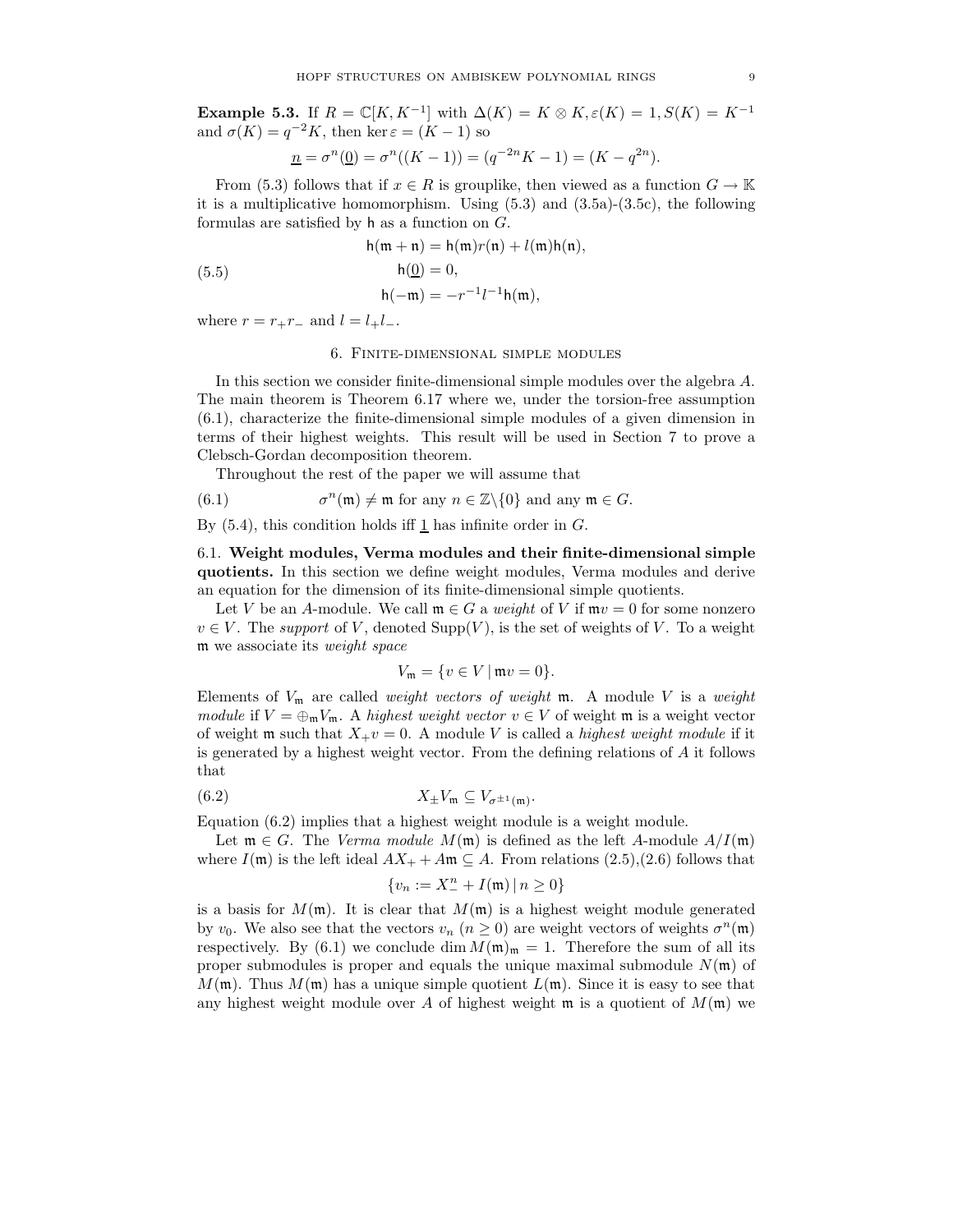**Example 5.3.** If  $R = \mathbb{C}[K, K^{-1}]$  with  $\Delta(K) = K \otimes K$ ,  $\varepsilon(K) = 1$ ,  $S(K) = K^{-1}$ and  $\sigma(K) = q^{-2}K$ , then ker  $\varepsilon = (K - 1)$  so

$$
\underline{n} = \sigma^n(\underline{0}) = \sigma^n((K - 1)) = (q^{-2n}K - 1) = (K - q^{2n}).
$$

From (5.3) follows that if  $x \in R$  is grouplike, then viewed as a function  $G \to \mathbb{K}$ it is a multiplicative homomorphism. Using  $(5.3)$  and  $(3.5a)-(3.5c)$ , the following formulas are satisfied by h as a function on G.

$$
h(\mathfrak{m} + \mathfrak{n}) = h(\mathfrak{m})r(\mathfrak{n}) + l(\mathfrak{m})h(\mathfrak{n}),
$$

$$
h(\underline{0}) = 0,
$$

$$
h(-\mathfrak{m}) = -r^{-1}l^{-1}h(\mathfrak{m}),
$$

where  $r = r_{+}r_{-}$  and  $l = l_{+}l_{-}$ .

(5.5)

#### 6. Finite-dimensional simple modules

In this section we consider finite-dimensional simple modules over the algebra A. The main theorem is Theorem 6.17 where we, under the torsion-free assumption (6.1), characterize the finite-dimensional simple modules of a given dimension in terms of their highest weights. This result will be used in Section 7 to prove a Clebsch-Gordan decomposition theorem.

Throughout the rest of the paper we will assume that

(6.1) 
$$
\sigma^n(\mathfrak{m}) \neq \mathfrak{m} \text{ for any } n \in \mathbb{Z} \setminus \{0\} \text{ and any } \mathfrak{m} \in G.
$$

By  $(5.4)$ , this condition holds iff 1 has infinite order in G.

6.1. Weight modules, Verma modules and their finite-dimensional simple quotients. In this section we define weight modules, Verma modules and derive an equation for the dimension of its finite-dimensional simple quotients.

Let V be an A-module. We call  $\mathfrak{m} \in G$  a weight of V if  $\mathfrak{m}v = 0$  for some nonzero  $v \in V$ . The support of V, denoted  $\text{Supp}(V)$ , is the set of weights of V. To a weight m we associate its weight space

$$
V_{\mathfrak{m}} = \{ v \in V \mid \mathfrak{m}v = 0 \}.
$$

Elements of  $V_m$  are called *weight vectors of weight* m. A module V is a *weight* module if  $V = \bigoplus_{m} V_m$ . A highest weight vector  $v \in V$  of weight m is a weight vector of weight m such that  $X_{+}v = 0$ . A module V is called a *highest weight module* if it is generated by a highest weight vector. From the defining relations of  $A$  it follows that

$$
(6.2) \t\t X_{\pm}V_{\mathfrak{m}} \subseteq V_{\sigma^{\pm 1}(\mathfrak{m})}
$$

Equation (6.2) implies that a highest weight module is a weight module.

Let  $\mathfrak{m} \in G$ . The *Verma module M*( $\mathfrak{m}$ ) is defined as the left A-module  $A/I(\mathfrak{m})$ where  $I(\mathfrak{m})$  is the left ideal  $AX_+ + A\mathfrak{m} \subseteq A$ . From relations (2.5),(2.6) follows that

.

$$
\{v_n:=X_{-}^n+I(\mathfrak{m})\,|\,n\geq 0\}
$$

is a basis for  $M(\mathfrak{m})$ . It is clear that  $M(\mathfrak{m})$  is a highest weight module generated by  $v_0$ . We also see that the vectors  $v_n$   $(n \ge 0)$  are weight vectors of weights  $\sigma^n(\mathfrak{m})$ respectively. By (6.1) we conclude dim  $M(\mathfrak{m})_{\mathfrak{m}} = 1$ . Therefore the sum of all its proper submodules is proper and equals the unique maximal submodule  $N(\mathfrak{m})$  of  $M(\mathfrak{m})$ . Thus  $M(\mathfrak{m})$  has a unique simple quotient  $L(\mathfrak{m})$ . Since it is easy to see that any highest weight module over A of highest weight m is a quotient of  $M(\mathfrak{m})$  we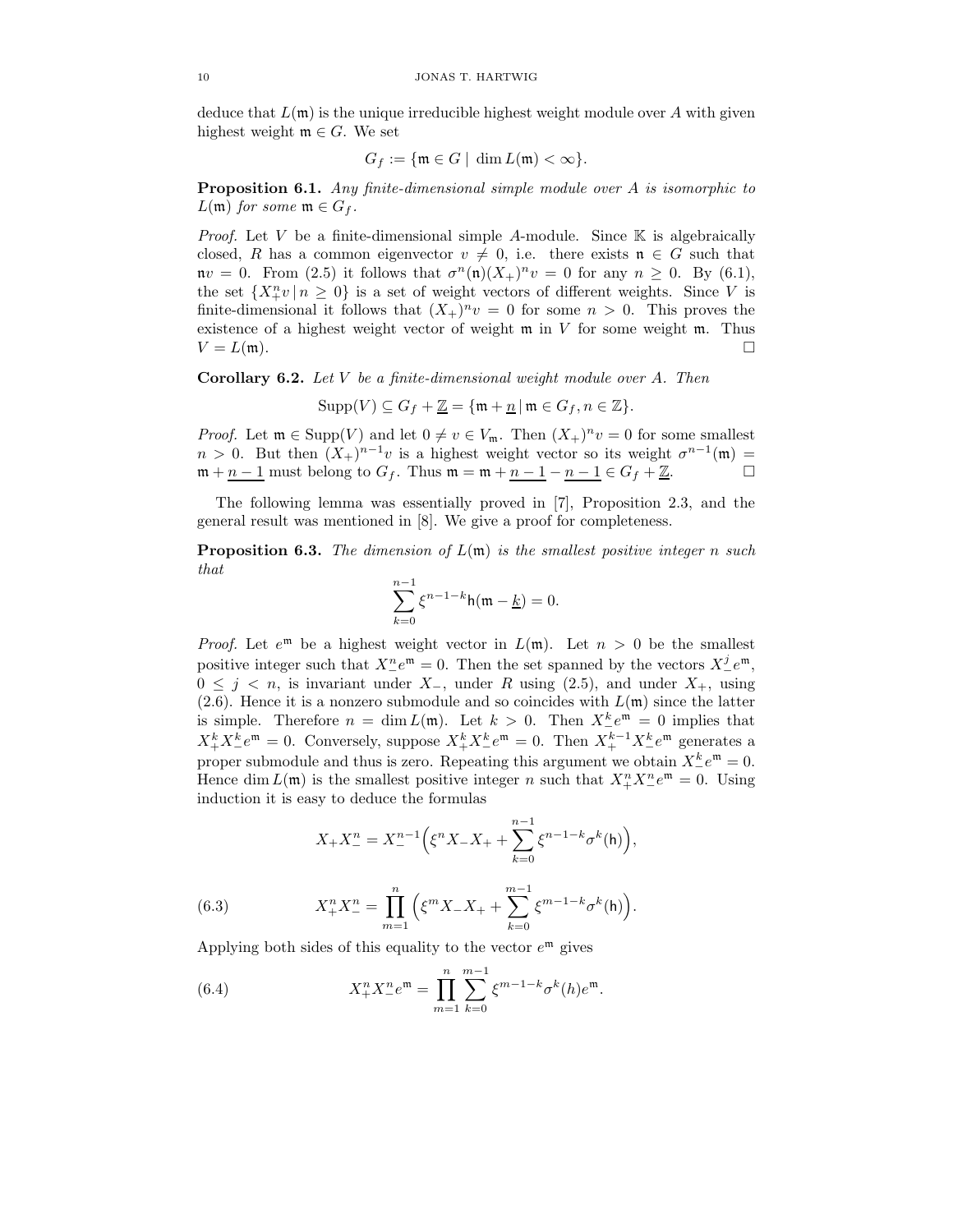deduce that  $L(\mathfrak{m})$  is the unique irreducible highest weight module over A with given highest weight  $\mathfrak{m} \in G$ . We set

$$
G_f := \{ \mathfrak{m} \in G \mid \dim L(\mathfrak{m}) < \infty \}.
$$

**Proposition 6.1.** Any finite-dimensional simple module over A is isomorphic to  $L(\mathfrak{m})$  for some  $\mathfrak{m} \in G_f$ .

*Proof.* Let V be a finite-dimensional simple A-module. Since  $K$  is algebraically closed, R has a common eigenvector  $v \neq 0$ , i.e. there exists  $\mathfrak{n} \in G$  such that  $\mathfrak{n}v = 0$ . From (2.5) it follows that  $\sigma^n(\mathfrak{n})(X_+)^n v = 0$  for any  $n \geq 0$ . By (6.1), the set  $\{X_{+}^{n}v | n \geq 0\}$  is a set of weight vectors of different weights. Since V is finite-dimensional it follows that  $(X_+)^n v = 0$  for some  $n > 0$ . This proves the existence of a highest weight vector of weight  $m$  in V for some weight  $m$ . Thus  $V = L(\mathfrak{m}).$ 

**Corollary 6.2.** Let  $V$  be a finite-dimensional weight module over  $A$ . Then

$$
Supp(V) \subseteq G_f + \underline{\mathbb{Z}} = \{ \mathfrak{m} + \underline{n} \, | \, \mathfrak{m} \in G_f, n \in \mathbb{Z} \}.
$$

*Proof.* Let  $\mathfrak{m} \in \text{Supp}(V)$  and let  $0 \neq v \in V_{\mathfrak{m}}$ . Then  $(X_+)^n v = 0$  for some smallest  $n > 0$ . But then  $(X_+)^{n-1}v$  is a highest weight vector so its weight  $\sigma^{n-1}(\mathfrak{m}) =$  $m + n - 1$  must belong to  $G_f$ . Thus  $m = m + n - 1 - n - 1 \in G_f + \mathbb{Z}$ .

The following lemma was essentially proved in [7], Proposition 2.3, and the general result was mentioned in [8]. We give a proof for completeness.

**Proposition 6.3.** The dimension of  $L(\mathfrak{m})$  is the smallest positive integer n such that

$$
\sum_{k=0}^{n-1} \xi^{n-1-k} \mathsf{h}(\mathfrak{m} - \underline{k}) = 0.
$$

*Proof.* Let  $e^{m}$  be a highest weight vector in  $L(m)$ . Let  $n > 0$  be the smallest positive integer such that  $X_{-}^{n}e^{\mathfrak{m}}=0$ . Then the set spanned by the vectors  $X_{-}^{j}e^{\mathfrak{m}}$ ,  $0 \leq j \leq n$ , is invariant under  $X_-,$  under R using (2.5), and under  $X_+,$  using (2.6). Hence it is a nonzero submodule and so coincides with  $L(\mathfrak{m})$  since the latter is simple. Therefore  $n = \dim L(\mathfrak{m})$ . Let  $k > 0$ . Then  $X_{-}^{k}e^{\mathfrak{m}} = 0$  implies that  $X_+^k X_-^k e^{\mathfrak{m}} = 0$ . Conversely, suppose  $X_+^k X_-^k e^{\mathfrak{m}} = 0$ . Then  $X_+^{k-1} X_-^k e^{\mathfrak{m}}$  generates a proper submodule and thus is zero. Repeating this argument we obtain  $X_{-}^{k}e^{\mathfrak{m}}=0$ . Hence dim  $L(\mathfrak{m})$  is the smallest positive integer n such that  $X_{+}^{n}X_{-}^{n}e^{\mathfrak{m}}=0$ . Using induction it is easy to deduce the formulas

$$
X_{+}X_{-}^{n} = X_{-}^{n-1} \Big( \xi^{n} X_{-} X_{+} + \sum_{k=0}^{n-1} \xi^{n-1-k} \sigma^{k}(\mathsf{h}) \Big),
$$

(6.3) 
$$
X_+^n X_-^n = \prod_{m=1}^n \left( \xi^m X_- X_+ + \sum_{k=0}^{m-1} \xi^{m-1-k} \sigma^k(\mathsf{h}) \right).
$$

Applying both sides of this equality to the vector  $e^{\mathfrak{m}}$  gives

(6.4) 
$$
X_+^n X_-^n e^{\mathfrak{m}} = \prod_{m=1}^n \sum_{k=0}^{m-1} \xi^{m-1-k} \sigma^k(h) e^{\mathfrak{m}}.
$$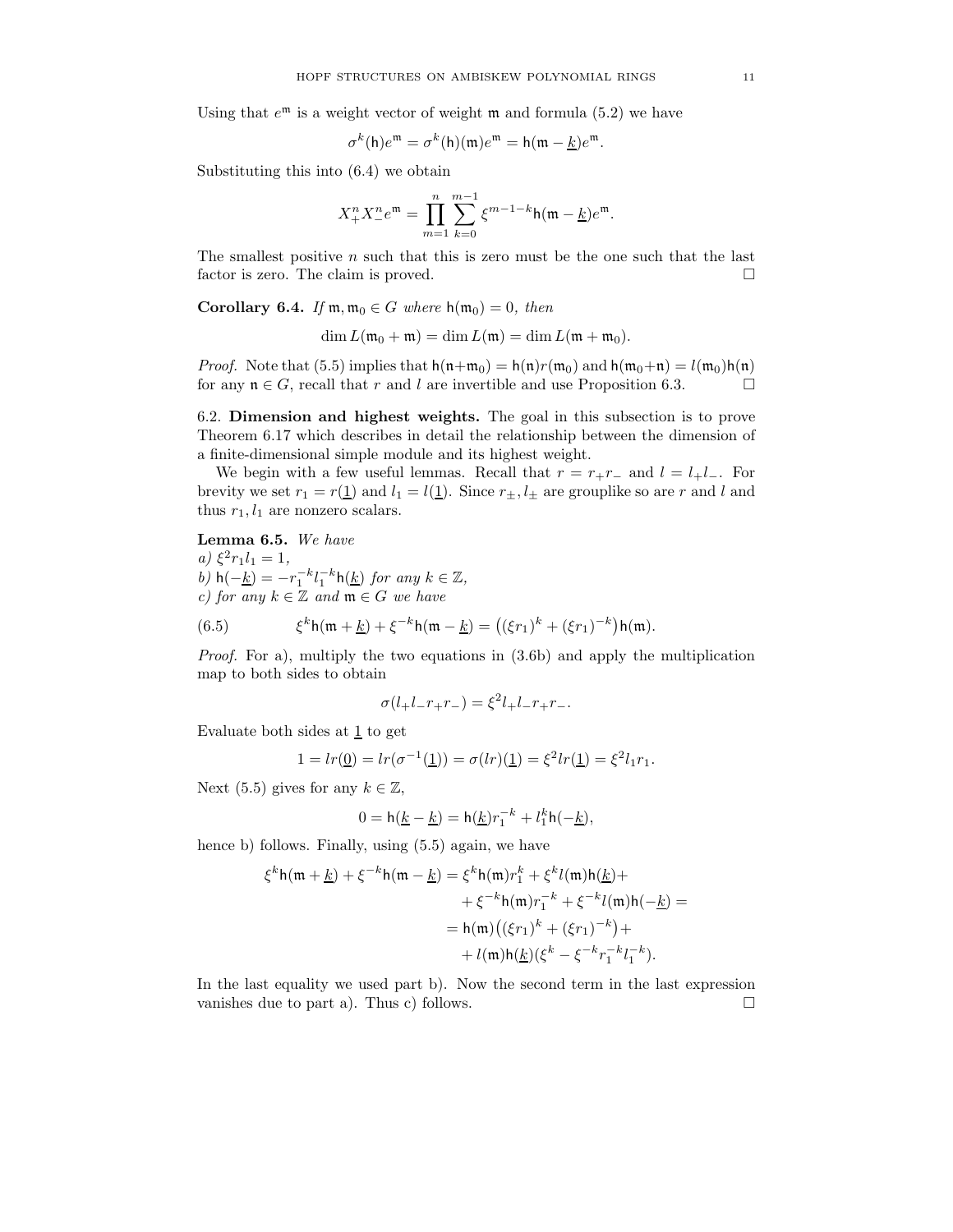Using that  $e^{\mathfrak{m}}$  is a weight vector of weight  $\mathfrak{m}$  and formula (5.2) we have

$$
\sigma^k(\mathsf{h})e^{\mathfrak{m}} = \sigma^k(\mathsf{h})(\mathfrak{m})e^{\mathfrak{m}} = \mathsf{h}(\mathfrak{m} - \underline{k})e^{\mathfrak{m}}.
$$

Substituting this into (6.4) we obtain

$$
X_{+}^{n}X_{-}^{n}e^{\mathfrak{m}} = \prod_{m=1}^{n} \sum_{k=0}^{m-1} \xi^{m-1-k} \mathsf{h}(\mathfrak{m} - \underline{k})e^{\mathfrak{m}}.
$$

The smallest positive  $n$  such that this is zero must be the one such that the last factor is zero. The claim is proved.

Corollary 6.4. If  $\mathfrak{m}, \mathfrak{m}_0 \in G$  where  $\mathsf{h}(\mathfrak{m}_0) = 0$ , then

 $\dim L(\mathfrak{m}_0 + \mathfrak{m}) = \dim L(\mathfrak{m}) = \dim L(\mathfrak{m} + \mathfrak{m}_0).$ 

*Proof.* Note that (5.5) implies that  $h(n+m_0) = h(n)r(m_0)$  and  $h(m_0+n) = l(m_0)h(n)$ for any  $\mathfrak{n} \in G$ , recall that r and l are invertible and use Proposition 6.3.

6.2. Dimension and highest weights. The goal in this subsection is to prove Theorem 6.17 which describes in detail the relationship between the dimension of a finite-dimensional simple module and its highest weight.

We begin with a few useful lemmas. Recall that  $r = r_+r_-$  and  $l = l_+l_-$ . For brevity we set  $r_1 = r(\underline{1})$  and  $l_1 = l(\underline{1})$ . Since  $r_{\pm}, l_{\pm}$  are grouplike so are r and l and thus  $r_1, l_1$  are nonzero scalars.

Lemma 6.5. We have

 $a) \xi^2 r_1 l_1 = 1,$ b)  $h(-\underline{k}) = -r_1^{-k}l_1^{-k}h(\underline{k})$  for any  $k \in \mathbb{Z}$ , c) for any  $k \in \mathbb{Z}$  and  $\mathfrak{m} \in G$  we have

(6.5) 
$$
\xi^k h(m + \underline{k}) + \xi^{-k} h(m - \underline{k}) = ((\xi r_1)^k + (\xi r_1)^{-k}) h(m).
$$

Proof. For a), multiply the two equations in (3.6b) and apply the multiplication map to both sides to obtain

$$
\sigma(l_{+}l_{-}r_{+}r_{-}) = \xi^{2}l_{+}l_{-}r_{+}r_{-}.
$$

Evaluate both sides at  $1$  to get

$$
1 = lr(\underline{0}) = lr(\sigma^{-1}(\underline{1})) = \sigma(lr)(\underline{1}) = \xi^{2}lr(\underline{1}) = \xi^{2}l_{1}r_{1}.
$$

Next (5.5) gives for any  $k \in \mathbb{Z}$ ,

$$
0 = h(\underline{k} - \underline{k}) = h(\underline{k})r_1^{-k} + l_1^{k}h(-\underline{k}),
$$

hence b) follows. Finally, using (5.5) again, we have

$$
\xi^{k}h(\mathfrak{m} + \underline{k}) + \xi^{-k}h(\mathfrak{m} - \underline{k}) = \xi^{k}h(\mathfrak{m})r_{1}^{k} + \xi^{k}l(\mathfrak{m})h(\underline{k}) +
$$
  
+ 
$$
\xi^{-k}h(\mathfrak{m})r_{1}^{-k} + \xi^{-k}l(\mathfrak{m})h(-\underline{k}) =
$$
  
= 
$$
h(\mathfrak{m})\big((\xi r_{1})^{k} + (\xi r_{1})^{-k}\big) +
$$
  
+ 
$$
l(\mathfrak{m})h(\underline{k})(\xi^{k} - \xi^{-k}r_{1}^{-k}l_{1}^{-k}).
$$

In the last equality we used part b). Now the second term in the last expression vanishes due to part a). Thus c) follows.  $\square$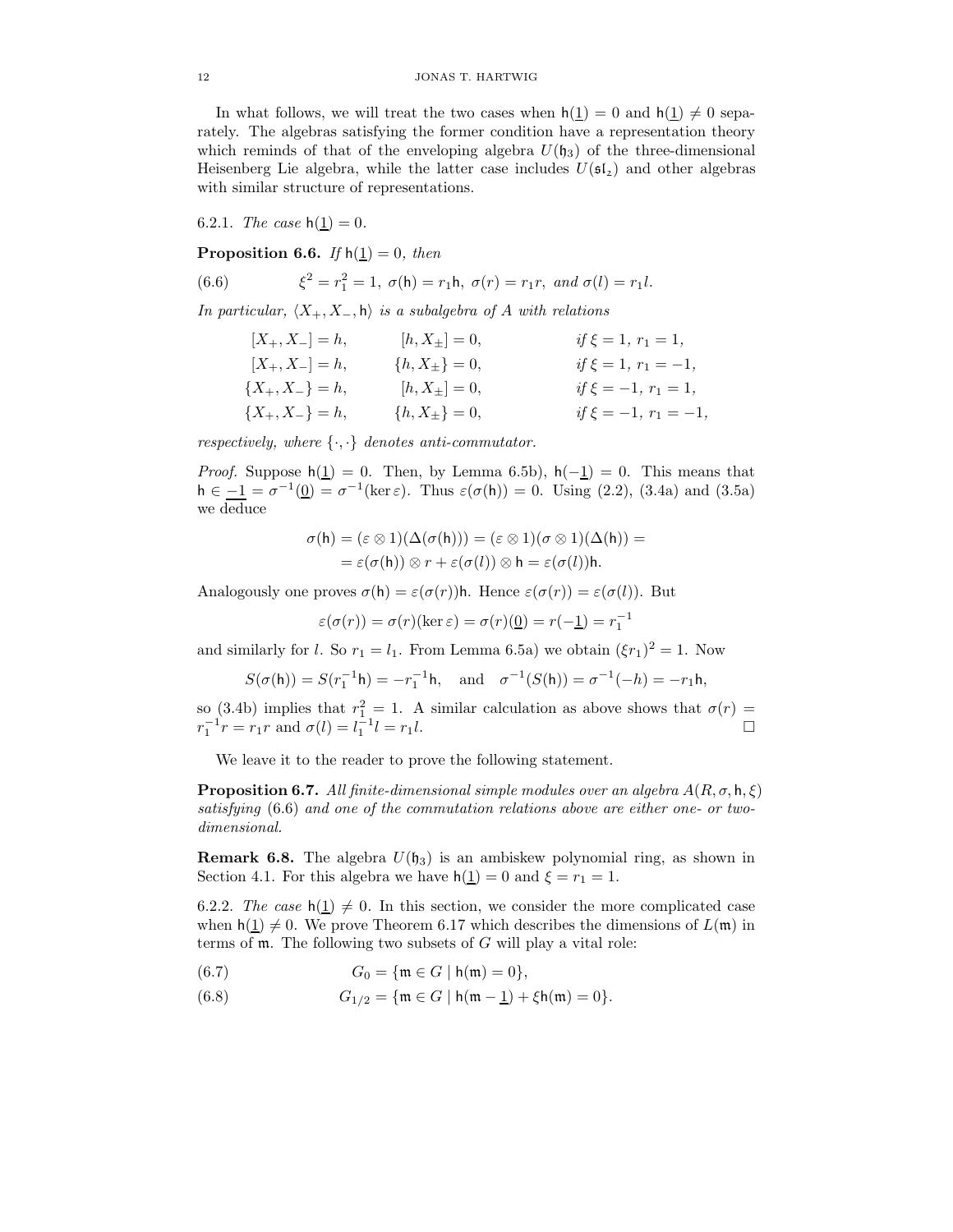In what follows, we will treat the two cases when  $h(1) = 0$  and  $h(1) \neq 0$  separately. The algebras satisfying the former condition have a representation theory which reminds of that of the enveloping algebra  $U(\mathfrak{h}_3)$  of the three-dimensional Heisenberg Lie algebra, while the latter case includes  $U(\mathfrak{sl}_2)$  and other algebras with similar structure of representations.

6.2.1. The case  $h(1) = 0$ .

**Proposition 6.6.** If  $h(1) = 0$ , then

(6.6) 
$$
\xi^2 = r_1^2 = 1, \ \sigma(\mathsf{h}) = r_1 \mathsf{h}, \ \sigma(r) = r_1 r, \ and \ \sigma(l) = r_1 l.
$$

In particular,  $\langle X_+, X_-, h \rangle$  is a subalgebra of A with relations

| $[X_{+}, X_{-}] = h,$ | $[h, X_{\pm}] = 0,$ | if $\xi = 1, r_1 = 1,$   |
|-----------------------|---------------------|--------------------------|
| $[X_{+}, X_{-}] = h,$ | ${h, X_{\pm}} = 0,$ | if $\xi = 1, r_1 = -1,$  |
| ${X_+, X_-\} = h,$    | $[h, X_{\pm}] = 0,$ | if $\xi = -1, r_1 = 1,$  |
| ${X_+, X_-\} = h,$    | ${h, X_{\pm}} = 0,$ | if $\xi = -1, r_1 = -1,$ |

respectively, where  $\{\cdot,\cdot\}$  denotes anti-commutator.

*Proof.* Suppose  $h(1) = 0$ . Then, by Lemma 6.5b),  $h(-1) = 0$ . This means that  $h \in -1 = \sigma^{-1}(\underline{0}) = \sigma^{-1}(\ker \varepsilon)$ . Thus  $\varepsilon(\sigma(h)) = 0$ . Using (2.2), (3.4a) and (3.5a) we deduce

$$
\begin{aligned} \sigma(\mathsf{h}) &= (\varepsilon \otimes 1)(\Delta(\sigma(\mathsf{h}))) = (\varepsilon \otimes 1)(\sigma \otimes 1)(\Delta(\mathsf{h})) = \\ &= \varepsilon(\sigma(\mathsf{h})) \otimes r + \varepsilon(\sigma(\mathsf{l})) \otimes \mathsf{h} = \varepsilon(\sigma(\mathsf{l})) \mathsf{h}. \end{aligned}
$$

Analogously one proves  $\sigma(h) = \varepsilon(\sigma(r))h$ . Hence  $\varepsilon(\sigma(r)) = \varepsilon(\sigma(l))$ . But

$$
\varepsilon(\sigma(r)) = \sigma(r)(\ker \varepsilon) = \sigma(r)(\underline{0}) = r(-\underline{1}) = r_1^{-1}
$$

and similarly for *l*. So  $r_1 = l_1$ . From Lemma 6.5a) we obtain  $(\xi r_1)^2 = 1$ . Now

$$
S(\sigma(h)) = S(r_1^{-1}h) = -r_1^{-1}h
$$
, and  $\sigma^{-1}(S(h)) = \sigma^{-1}(-h) = -r_1h$ ,

so (3.4b) implies that  $r_1^2 = 1$ . A similar calculation as above shows that  $\sigma(r) =$  $r_1^{-1}r = r_1r$  and  $\sigma(l) = l_1^{-1}l = r_1l$ .

We leave it to the reader to prove the following statement.

**Proposition 6.7.** All finite-dimensional simple modules over an algebra  $A(R, \sigma, h, \xi)$ satisfying (6.6) and one of the commutation relations above are either one- or twodimensional.

**Remark 6.8.** The algebra  $U(\mathfrak{h}_3)$  is an ambiskew polynomial ring, as shown in Section 4.1. For this algebra we have  $h(1) = 0$  and  $\xi = r_1 = 1$ .

6.2.2. The case  $h(1) \neq 0$ . In this section, we consider the more complicated case when  $h(1) \neq 0$ . We prove Theorem 6.17 which describes the dimensions of  $L(\mathfrak{m})$  in terms of  $m$ . The following two subsets of  $G$  will play a vital role:

(6.7) 
$$
G_0 = \{ \mathfrak{m} \in G \mid \mathfrak{h}(\mathfrak{m}) = 0 \},
$$

(6.8)  $G_{1/2} = \{ \mathfrak{m} \in G \mid \mathfrak{h}(\mathfrak{m} - \underline{1}) + \xi \mathfrak{h}(\mathfrak{m}) = 0 \}.$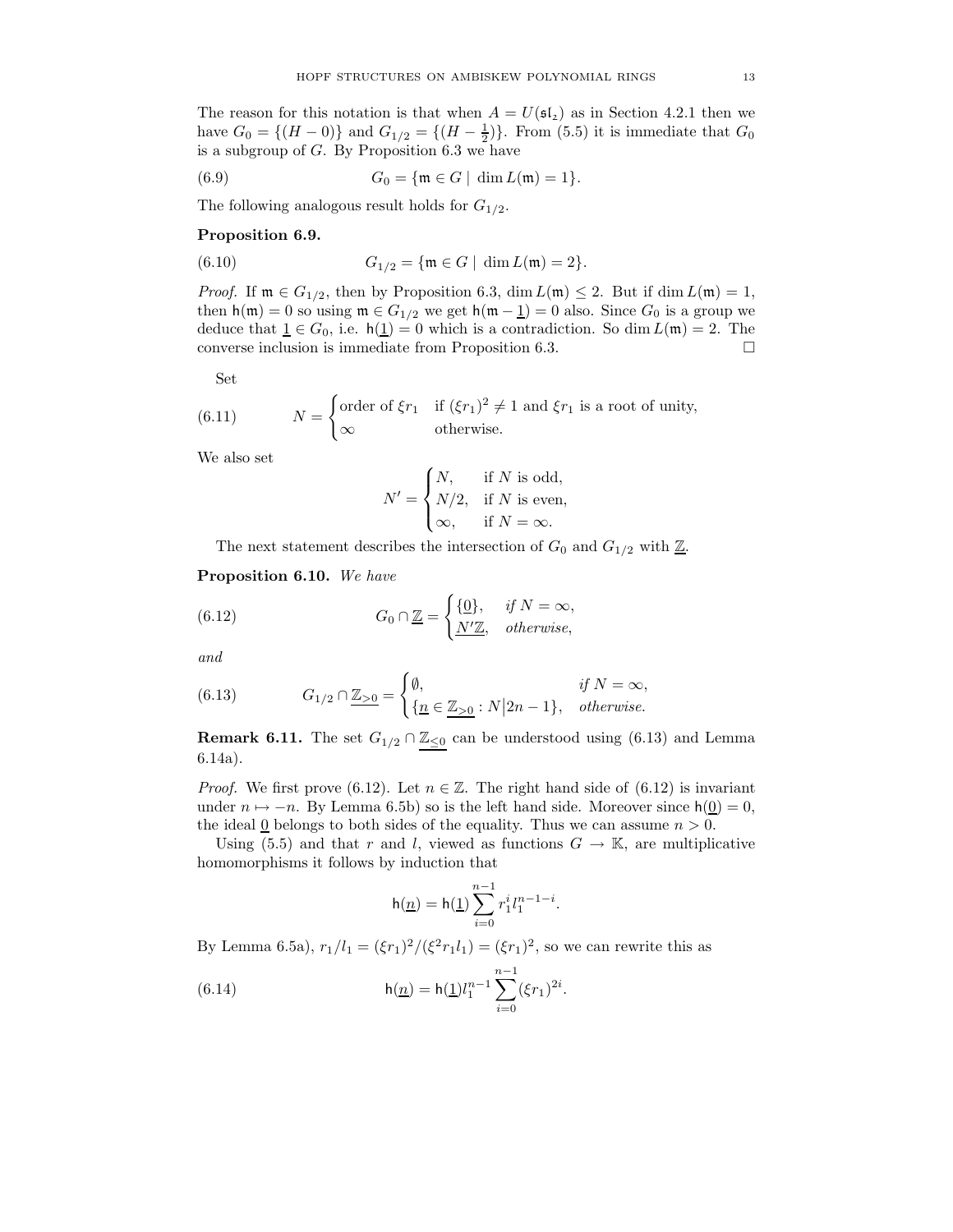The reason for this notation is that when  $A = U(\mathfrak{sl}_2)$  as in Section 4.2.1 then we have  $G_0 = \{(H - 0)\}\$ and  $G_{1/2} = \{(H - \frac{1}{2})\}\$ . From (5.5) it is immediate that  $G_0$ is a subgroup of  $G$ . By Proposition 6.3 we have

(6.9) 
$$
G_0 = \{ \mathfrak{m} \in G \mid \dim L(\mathfrak{m}) = 1 \}.
$$

The following analogous result holds for  $G_{1/2}$ .

### Proposition 6.9.

(6.10) 
$$
G_{1/2} = \{ \mathfrak{m} \in G \mid \dim L(\mathfrak{m}) = 2 \}.
$$

*Proof.* If  $\mathfrak{m} \in G_{1/2}$ , then by Proposition 6.3, dim  $L(\mathfrak{m}) \leq 2$ . But if dim  $L(\mathfrak{m}) = 1$ , then  $h(m) = 0$  so using  $m \in G_{1/2}$  we get  $h(m - 1) = 0$  also. Since  $G_0$  is a group we deduce that  $\underline{1} \in G_0$ , i.e.  $h(\underline{1}) = 0$  which is a contradiction. So dim  $L(\mathfrak{m}) = 2$ . The converse inclusion is immediate from Proposition 6.3.  $\Box$ 

Set

(6.11) 
$$
N = \begin{cases} \text{order of } \xi r_1 & \text{if } (\xi r_1)^2 \neq 1 \text{ and } \xi r_1 \text{ is a root of unity,} \\ \infty & \text{otherwise.} \end{cases}
$$

We also set

$$
N' = \begin{cases} N, & \text{if } N \text{ is odd,} \\ N/2, & \text{if } N \text{ is even,} \\ \infty, & \text{if } N = \infty. \end{cases}
$$

The next statement describes the intersection of  $G_0$  and  $G_{1/2}$  with  $\underline{\mathbb{Z}}$ .

Proposition 6.10. We have

(6.12) 
$$
G_0 \cap \underline{\mathbb{Z}} = \begin{cases} \{\underline{0}\}, & \text{if } N = \infty, \\ \underline{N' \mathbb{Z}}, & \text{otherwise,} \end{cases}
$$

and

(6.13) 
$$
G_{1/2} \cap \underline{\mathbb{Z}}_{>0} = \begin{cases} \emptyset, & \text{if } N = \infty, \\ \{\underline{n} \in \underline{\mathbb{Z}}_{>0} : N | 2n - 1\}, & \text{otherwise.} \end{cases}
$$

**Remark 6.11.** The set  $G_{1/2} \cap \mathbb{Z}_{\leq 0}$  can be understood using (6.13) and Lemma 6.14a).

*Proof.* We first prove (6.12). Let  $n \in \mathbb{Z}$ . The right hand side of (6.12) is invariant under  $n \mapsto -n$ . By Lemma 6.5b) so is the left hand side. Moreover since  $h(\underline{0}) = 0$ , the ideal  $\underline{0}$  belongs to both sides of the equality. Thus we can assume  $n > 0$ .

Using (5.5) and that r and l, viewed as functions  $G \to \mathbb{K}$ , are multiplicative homomorphisms it follows by induction that

$$
h(\underline{n}) = h(\underline{1}) \sum_{i=0}^{n-1} r_1^i l_1^{n-1-i}.
$$

By Lemma 6.5a),  $r_1/l_1 = (\xi r_1)^2/(\xi^2 r_1 l_1) = (\xi r_1)^2$ , so we can rewrite this as

(6.14) 
$$
h(\underline{n}) = h(\underline{1})l_1^{n-1} \sum_{i=0}^{n-1} (\xi r_1)^{2i}.
$$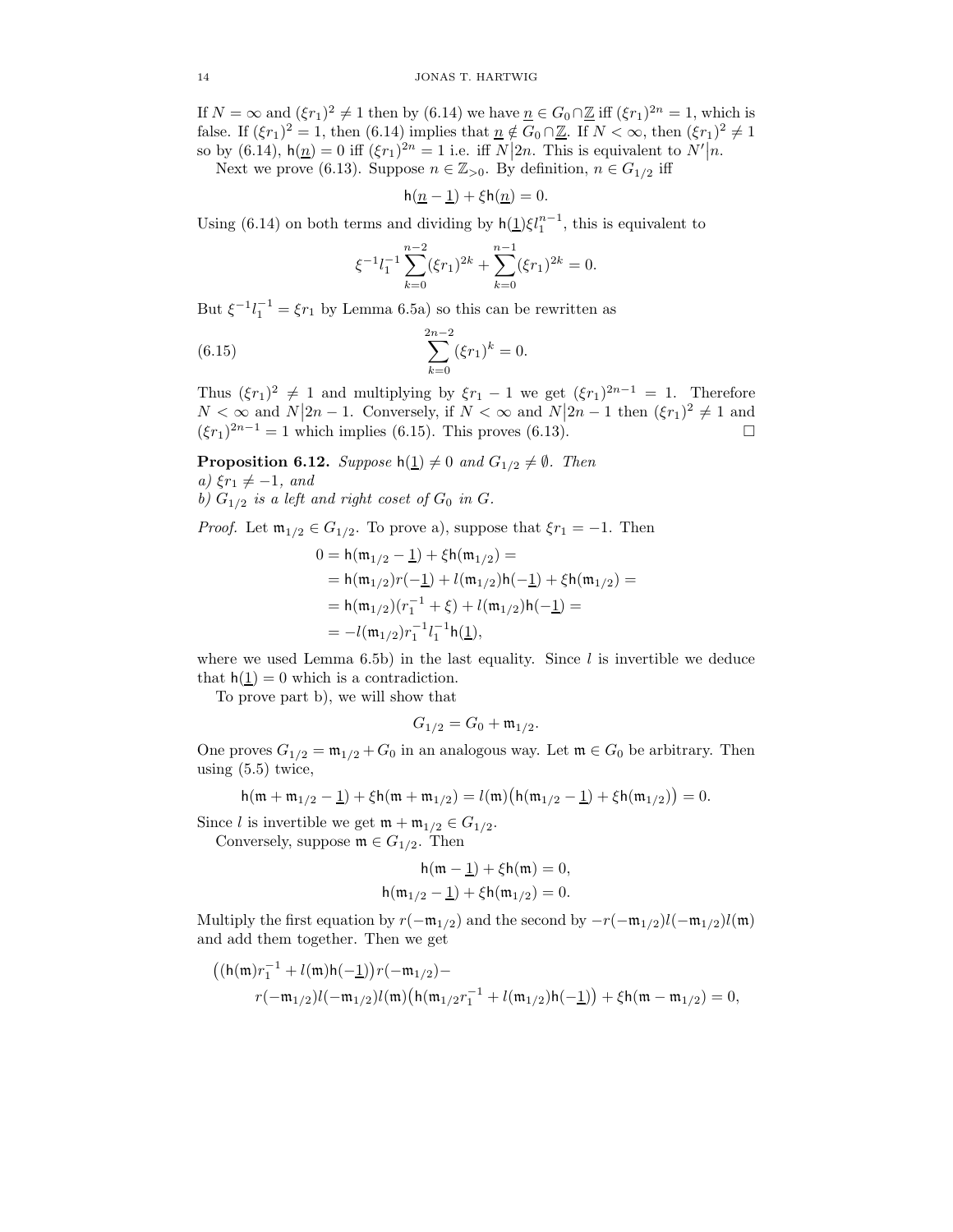If  $N = \infty$  and  $(\xi r_1)^2 \neq 1$  then by  $(6.14)$  we have  $\underline{n} \in G_0 \cap \underline{\mathbb{Z}}$  iff  $(\xi r_1)^{2n} = 1$ , which is false. If  $(\xi r_1)^2 = 1$ , then (6.14) implies that  $\underline{n} \notin G_0 \cap \underline{\mathbb{Z}}$ . If  $N < \infty$ , then  $(\xi r_1)^2 \neq 1$ so by  $(6.14)$ ,  $h(\underline{n}) = 0$  iff  $(\xi r_1)^{2n} = 1$  i.e. iff  $N|2n$ . This is equivalent to  $N'|n$ . Next we prove (6.13). Suppose  $n \in \mathbb{Z}_{>0}$ . By definition,  $n \in G_{1/2}$  iff

 $h(\underline{n-1}) + \xi h(\underline{n}) = 0.$ 

Using (6.14) on both terms and dividing by  $h(1)\xi l_1^{n-1}$ , this is equivalent to

$$
\xi^{-1}l_1^{-1}\sum_{k=0}^{n-2}(\xi r_1)^{2k} + \sum_{k=0}^{n-1}(\xi r_1)^{2k} = 0.
$$

But  $\xi^{-1}l_1^{-1} = \xi r_1$  by Lemma 6.5a) so this can be rewritten as

(6.15) 
$$
\sum_{k=0}^{2n-2} (\xi r_1)^k = 0.
$$

Thus  $(\xi r_1)^2 \neq 1$  and multiplying by  $\xi r_1 - 1$  we get  $(\xi r_1)^{2n-1} = 1$ . Therefore  $N < \infty$  and  $N|2n-1$ . Conversely, if  $N < \infty$  and  $N|2n-1$  then  $(\xi r_1)^2 \neq 1$  and  $(\xi r_1)^{2n-1} = 1$  which implies (6.15). This proves (6.13).

**Proposition 6.12.** Suppose  $h(1) \neq 0$  and  $G_{1/2} \neq \emptyset$ . Then a)  $\xi r_1 \neq -1$ , and

b)  $G_{1/2}$  is a left and right coset of  $G_0$  in  $G$ .

*Proof.* Let  $\mathfrak{m}_{1/2} \in G_{1/2}$ . To prove a), suppose that  $\xi r_1 = -1$ . Then

$$
0 = h(m_{1/2} - \underline{1}) + \xi h(m_{1/2}) =
$$
  
= h(m\_{1/2})r(-\underline{1}) + l(m\_{1/2})h(-\underline{1}) + \xi h(m\_{1/2}) =  
= h(m\_{1/2})(r\_1^{-1} + \xi) + l(m\_{1/2})h(-\underline{1}) =  
= -l(m\_{1/2})r\_1^{-1}l\_1^{-1}h(\underline{1}),

where we used Lemma  $6.5b$ ) in the last equality. Since l is invertible we deduce that  $h(1) = 0$  which is a contradiction.

To prove part b), we will show that

$$
G_{1/2} = G_0 + \mathfrak{m}_{1/2}.
$$

One proves  $G_{1/2} = \mathfrak{m}_{1/2} + G_0$  in an analogous way. Let  $\mathfrak{m} \in G_0$  be arbitrary. Then using (5.5) twice,

$$
h(\mathfrak{m} + \mathfrak{m}_{1/2} - \underline{1}) + \xi h(\mathfrak{m} + \mathfrak{m}_{1/2}) = l(\mathfrak{m}) \big( h(\mathfrak{m}_{1/2} - \underline{1}) + \xi h(\mathfrak{m}_{1/2}) \big) = 0.
$$

Since l is invertible we get  $\mathfrak{m} + \mathfrak{m}_{1/2} \in G_{1/2}$ .

Conversely, suppose  $\mathfrak{m} \in G_{1/2}$ . Then

$$
\begin{aligned} \mathsf{h}(\mathfrak{m}-\underline{1})+\xi \mathsf{h}(\mathfrak{m})=0,\\ \mathsf{h}(\mathfrak{m}_{1/2}-\underline{1})+\xi \mathsf{h}(\mathfrak{m}_{1/2})=0. \end{aligned}
$$

Multiply the first equation by  $r(-\mathfrak{m}_{1/2})$  and the second by  $-r(-\mathfrak{m}_{1/2})l(-\mathfrak{m}_{1/2})l(\mathfrak{m})$ and add them together. Then we get

$$
((h(\mathfrak{m})r_1^{-1} + l(\mathfrak{m})h(-\underline{1}))r(-\mathfrak{m}_{1/2}) -
$$
  

$$
r(-\mathfrak{m}_{1/2})l(-\mathfrak{m}_{1/2})l(\mathfrak{m})(h(\mathfrak{m}_{1/2}r_1^{-1} + l(\mathfrak{m}_{1/2})h(-\underline{1})) + \xi h(\mathfrak{m} - \mathfrak{m}_{1/2}) = 0,
$$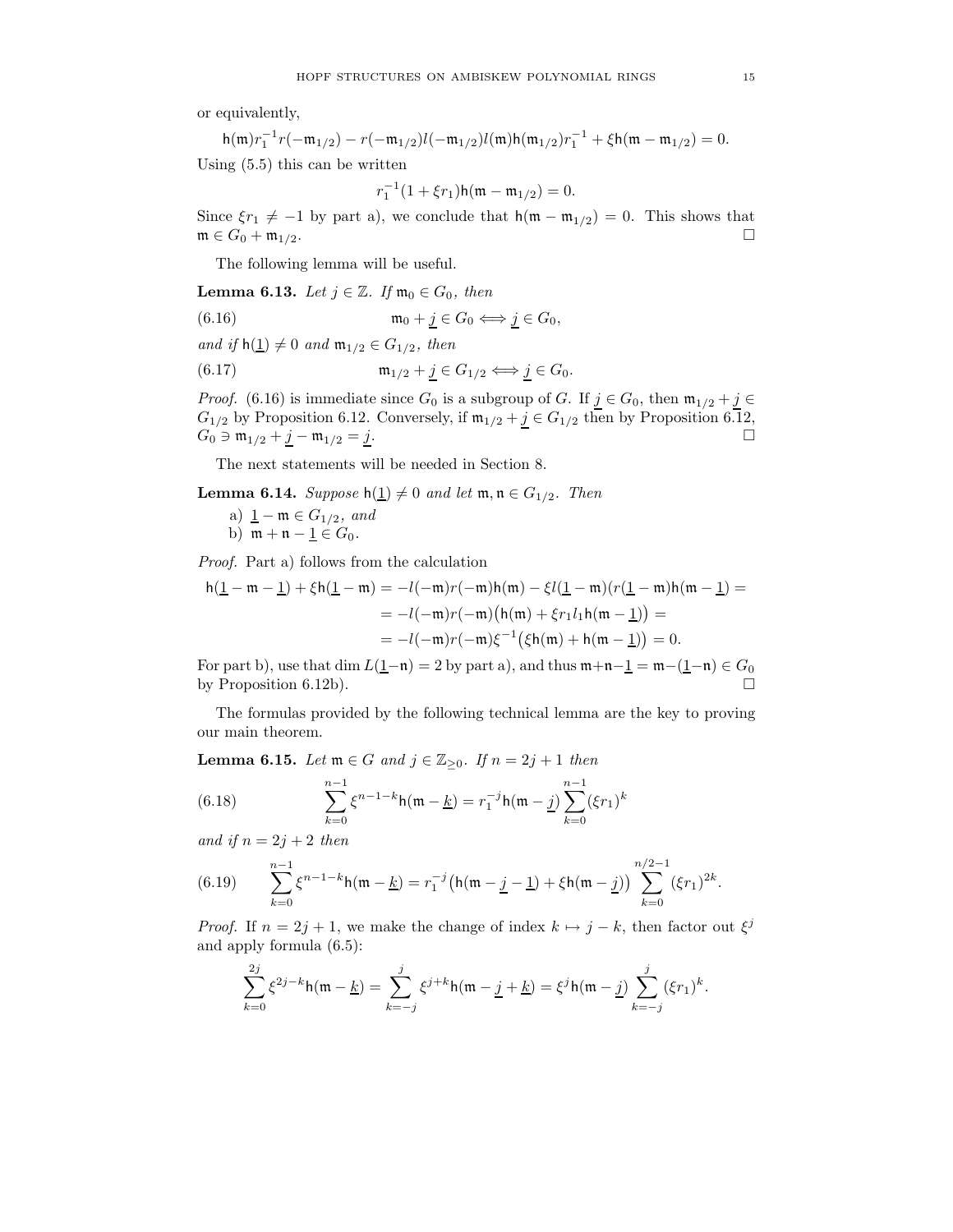or equivalently,

$$
h(\mathfrak{m})r_1^{-1}r(-\mathfrak{m}_{1/2}) - r(-\mathfrak{m}_{1/2})l(-\mathfrak{m}_{1/2})l(\mathfrak{m})h(\mathfrak{m}_{1/2})r_1^{-1} + \xi h(\mathfrak{m} - \mathfrak{m}_{1/2}) = 0.
$$
 Using (5.5) this can be written

$$
r_1^{-1}(1+\xi r_1)h(\mathfrak{m}-\mathfrak{m}_{1/2})=0.
$$

Since  $\xi r_1 \neq -1$  by part a), we conclude that  $h(\mathfrak{m} - \mathfrak{m}_{1/2}) = 0$ . This shows that  $\mathfrak{m} \in G_0 + \mathfrak{m}_{1/2}.$ 

The following lemma will be useful.

**Lemma 6.13.** Let  $j \in \mathbb{Z}$ . If  $\mathfrak{m}_0 \in G_0$ , then

$$
(6.16) \t\t m_0 + j \in G_0 \Longleftrightarrow j \in G_0,
$$

and if  $h(\underline{1}) \neq 0$  and  $\mathfrak{m}_{1/2} \in G_{1/2}$ , then

(6.17) 
$$
\mathfrak{m}_{1/2} + \underline{j} \in G_{1/2} \Longleftrightarrow \underline{j} \in G_0.
$$

*Proof.* (6.16) is immediate since  $G_0$  is a subgroup of G. If  $j \in G_0$ , then  $\mathfrak{m}_{1/2} + j \in$  $G_{1/2}$  by Proposition 6.12. Conversely, if  $\mathfrak{m}_{1/2} + \underline{j} \in G_{1/2}$  then by Proposition 6.12,  $G_0 \ni \mathfrak{m}_{1/2} + j - \mathfrak{m}_{1/2} = j.$ 

The next statements will be needed in Section 8.

**Lemma 6.14.** Suppose  $h(1) \neq 0$  and let  $m, n \in G_{1/2}$ . Then

- a)  $1 m \in G_{1/2}$ , and
- b)  $m + n 1 \in G_0$ .

Proof. Part a) follows from the calculation

$$
h(\underline{1} - m - \underline{1}) + \xi h(\underline{1} - m) = -l(-m)r(-m)h(m) - \xi l(\underline{1} - m)(r(\underline{1} - m)h(m - \underline{1})) =
$$
  
=  $-l(-m)r(-m)(h(m) + \xi r_1 l_1 h(m - \underline{1})) =$   
=  $-l(-m)r(-m)\xi^{-1}(\xi h(m) + h(m - \underline{1})) = 0.$ 

For part b), use that dim  $L(1-n) = 2$  by part a), and thus  $m+n-1 = m-(1-n) \in G_0$ by Proposition 6.12b).  $\Box$ 

The formulas provided by the following technical lemma are the key to proving our main theorem.

**Lemma 6.15.** Let  $m \in G$  and  $j \in \mathbb{Z}_{\geq 0}$ . If  $n = 2j + 1$  then

(6.18) 
$$
\sum_{k=0}^{n-1} \xi^{n-1-k} \mathsf{h}(\mathfrak{m} - \underline{k}) = r_1^{-j} \mathsf{h}(\mathfrak{m} - \underline{j}) \sum_{k=0}^{n-1} (\xi r_1)^k
$$

and if  $n = 2j + 2$  then

(6.19) 
$$
\sum_{k=0}^{n-1} \xi^{n-1-k} h(\mathfrak{m} - \underline{k}) = r_1^{-j} \left( h(\mathfrak{m} - \underline{j} - \underline{1}) + \xi h(\mathfrak{m} - \underline{j}) \right) \sum_{k=0}^{n/2-1} (\xi r_1)^{2k}.
$$

*Proof.* If  $n = 2j + 1$ , we make the change of index  $k \mapsto j - k$ , then factor out  $\xi^{j}$ and apply formula (6.5):

$$
\sum_{k=0}^{2j} \xi^{2j-k} \mathsf{h}(\mathfrak{m} - \underline{k}) = \sum_{k=-j}^{j} \xi^{j+k} \mathsf{h}(\mathfrak{m} - \underline{j} + \underline{k}) = \xi^{j} \mathsf{h}(\mathfrak{m} - \underline{j}) \sum_{k=-j}^{j} (\xi r_{1})^{k}.
$$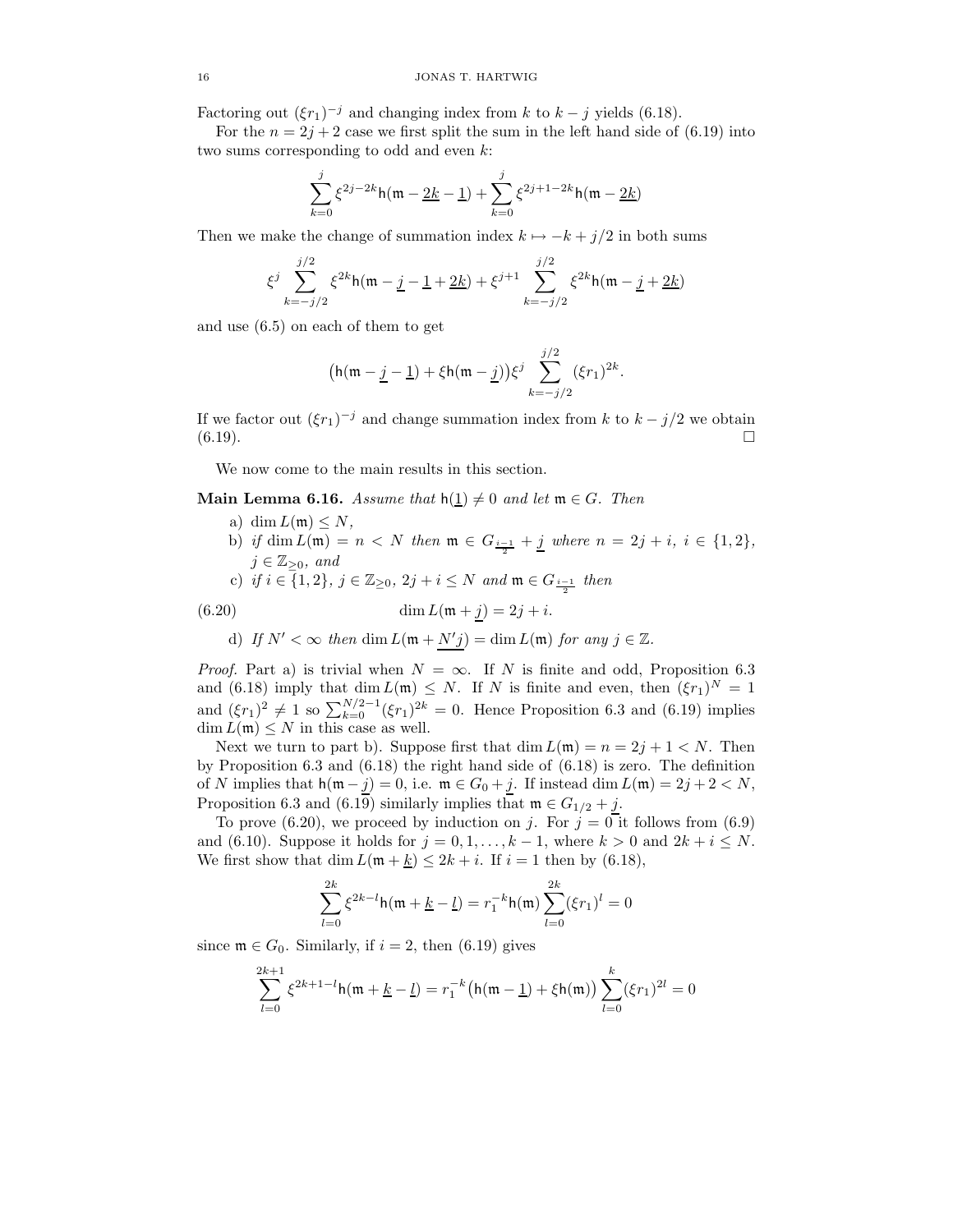Factoring out  $(\xi r_1)^{-j}$  and changing index from k to  $k - j$  yields (6.18).

For the  $n = 2j + 2$  case we first split the sum in the left hand side of (6.19) into two sums corresponding to odd and even k:

$$
\sum_{k=0}^{j} \xi^{2j-2k} \mathsf{h}(\mathfrak{m} - \underline{2k} - \underline{1}) + \sum_{k=0}^{j} \xi^{2j+1-2k} \mathsf{h}(\mathfrak{m} - \underline{2k})
$$

Then we make the change of summation index  $k \mapsto -k + j/2$  in both sums

$$
\xi^j \sum_{k=-j/2}^{j/2} \xi^{2k} \mathsf{h}(\mathfrak{m} - \underline{j} - \underline{1} + \underline{2k}) + \xi^{j+1} \sum_{k=-j/2}^{j/2} \xi^{2k} \mathsf{h}(\mathfrak{m} - \underline{j} + \underline{2k})
$$

and use (6.5) on each of them to get

$$
\big(\mathsf{h}(\mathfrak{m}-\underline{j}-\underline{1})+\xi\mathsf{h}(\mathfrak{m}-\underline{j})\big)\xi^j\sum_{k=-j/2}^{j/2}(\xi r_1)^{2k}.
$$

If we factor out  $(\xi r_1)^{-j}$  and change summation index from k to  $k - j/2$  we obtain  $(6.19)$ .

We now come to the main results in this section.

**Main Lemma 6.16.** Assume that  $h(1) \neq 0$  and let  $m \in G$ . Then

- a) dim  $L(\mathfrak{m}) \leq N$ ,
- b) if  $\dim L(\mathfrak{m}) = n < N$  then  $\mathfrak{m} \in G_{\frac{i-1}{2}} + \underline{j}$  where  $n = 2j + i, i \in \{1, 2\},\$  $j \in \mathbb{Z}_{\geq 0}$ , and
- c) if  $i \in \{1,2\}$ ,  $j \in \mathbb{Z}_{\geq 0}$ ,  $2j + i \leq N$  and  $\mathfrak{m} \in G_{\frac{i-1}{2}}$  then

$$
\dim L(\mathfrak{m} + j) = 2j + i.
$$

d) If  $N' < \infty$  then dim  $L(\mathfrak{m} + N'j) = \dim L(\mathfrak{m})$  for any  $j \in \mathbb{Z}$ .

*Proof.* Part a) is trivial when  $N = \infty$ . If N is finite and odd, Proposition 6.3 and (6.18) imply that  $\dim L(\mathfrak{m}) \leq N$ . If N is finite and even, then  $(\xi r_1)^N = 1$ and  $(\xi r_1)^2 \neq 1$  so  $\sum_{k=0}^{N/2-1} (\xi r_1)^{2k} = 0$ . Hence Proposition 6.3 and (6.19) implies  $\dim L(\mathfrak{m}) \leq N$  in this case as well.

Next we turn to part b). Suppose first that  $\dim L(\mathfrak{m}) = n = 2j + 1 \leq N$ . Then by Proposition 6.3 and (6.18) the right hand side of (6.18) is zero. The definition of N implies that  $h(\mathfrak{m} - \underline{j}) = 0$ , i.e.  $\mathfrak{m} \in G_0 + \underline{j}$ . If instead dim  $L(\mathfrak{m}) = 2j + 2 < N$ , Proposition 6.3 and (6.19) similarly implies that  $\mathfrak{m} \in G_{1/2} + j$ .

To prove (6.20), we proceed by induction on j. For  $j = 0$  it follows from (6.9) and (6.10). Suppose it holds for  $j = 0, 1, \ldots, k - 1$ , where  $k > 0$  and  $2k + i \leq N$ . We first show that dim  $L(\mathfrak{m} + \underline{k}) \leq 2k + i$ . If  $i = 1$  then by (6.18),

$$
\sum_{l=0}^{2k} \xi^{2k-l} \mathsf{h}(\mathfrak{m}+\underline{k}-\underline{l}) = r_1^{-k} \mathsf{h}(\mathfrak{m}) \sum_{l=0}^{2k} (\xi r_1)^l = 0
$$

since  $\mathfrak{m} \in G_0$ . Similarly, if  $i = 2$ , then (6.19) gives

$$
\sum_{l=0}^{2k+1} \xi^{2k+1-l} \mathsf{h}(\mathfrak{m} + \underline{k} - \underline{l}) = r_1^{-k} \big( \mathsf{h}(\mathfrak{m} - \underline{1}) + \xi \mathsf{h}(\mathfrak{m}) \big) \sum_{l=0}^{k} (\xi r_1)^{2l} = 0
$$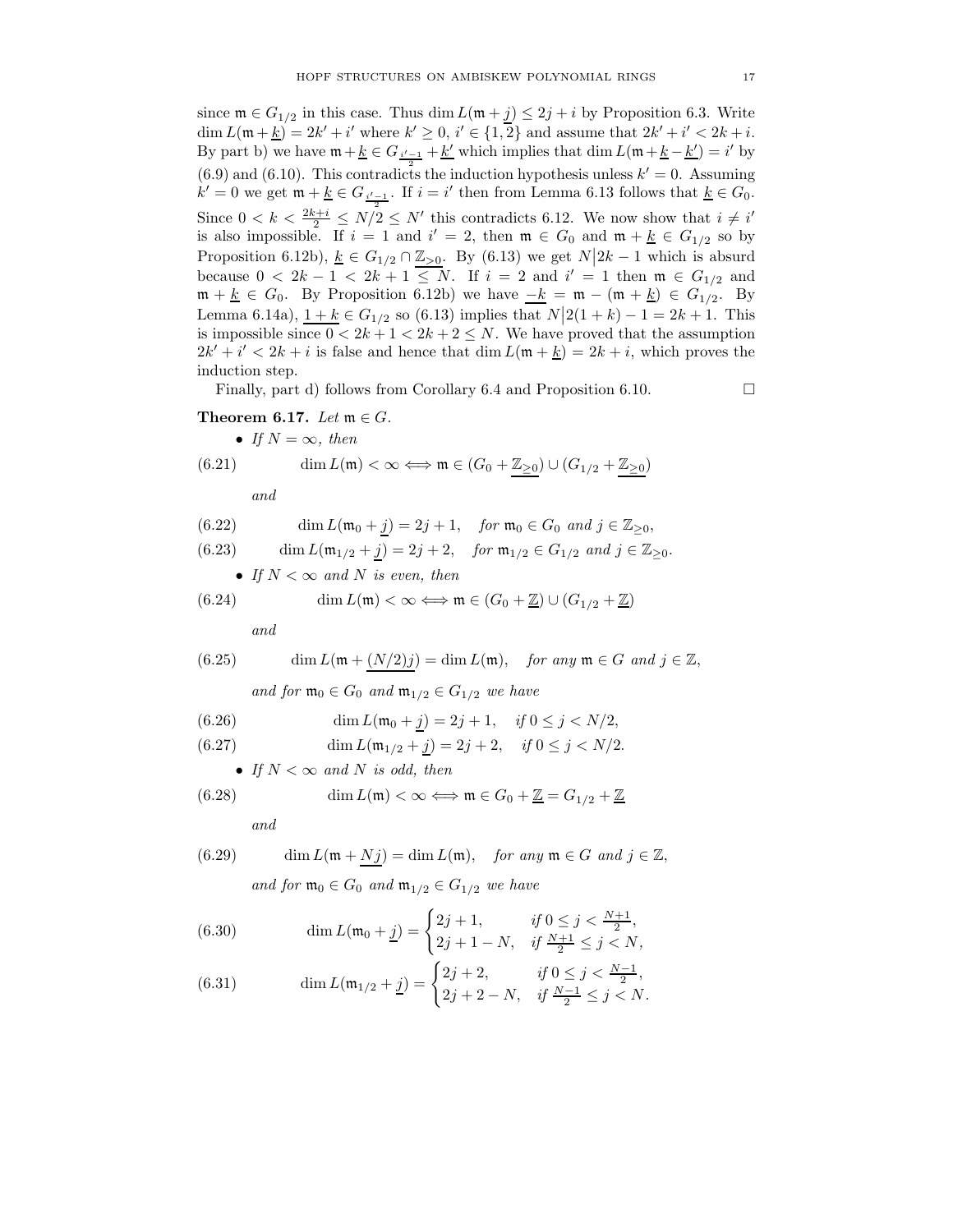since  $\mathfrak{m} \in G_{1/2}$  in this case. Thus dim  $L(\mathfrak{m} + j) \leq 2j + i$  by Proposition 6.3. Write dim  $L(\mathfrak{m} + \underline{k}) = 2k' + i'$  where  $k' \geq 0, i' \in \{1, 2\}$  and assume that  $2k' + i' < 2k + i$ . By part b) we have  $\mathfrak{m} + \underline{k} \in G_{i'-1} + \underline{k'}$  which implies that  $\dim L(\mathfrak{m} + \underline{k} - \underline{k'}) = i'$  by  $(6.9)$  and  $(6.10)$ . This contradicts the induction hypothesis unless  $k' = 0$ . Assuming  $k' = 0$  we get  $\mathfrak{m} + \underline{k} \in G_{\frac{i'-1}{2}}$ . If  $i = i'$  then from Lemma 6.13 follows that  $\underline{k} \in G_0$ . Since  $0 < k < \frac{2k+i}{2} \le N/2 \le N'$  this contradicts 6.12. We now show that  $i \neq i'$ is also impossible. If  $i = 1$  and  $i' = 2$ , then  $\mathfrak{m} \in G_0$  and  $\mathfrak{m} + \underline{k} \in G_{1/2}$  so by Proposition 6.12b),  $\underline{k} \in G_{1/2} \cap \underline{\mathbb{Z}_{>0}}$ . By (6.13) we get  $N|2k-1$  which is absurd because  $0 < 2k - 1 < 2k + 1 \le N$ . If  $i = 2$  and  $i' = 1$  then  $\mathfrak{m} \in G_{1/2}$  and  $\mathfrak{m} + \underline{k} \in G_0$ . By Proposition 6.12b) we have  $-\underline{k} = \mathfrak{m} - (\mathfrak{m} + \underline{k}) \in G_{1/2}$ . By Lemma 6.14a),  $\frac{1+k}{1} \in G_{1/2}$  so (6.13) implies that  $N \mid 2(1+k)-1 = 2k+1$ . This is impossible since  $0 < 2k + 1 < 2k + 2 \le N$ . We have proved that the assumption  $2k' + i' < 2k + i$  is false and hence that  $\dim L(\mathfrak{m} + \underline{k}) = 2k + i$ , which proves the induction step.

Finally, part d) follows from Corollary 6.4 and Proposition 6.10.

### Theorem 6.17. Let  $\mathfrak{m} \in G$ .

\n- If 
$$
N = \infty
$$
, then  $(6.21)$   $\dim L(\mathfrak{m}) < \infty \Longleftrightarrow \mathfrak{m} \in (G_0 + \underline{\mathbb{Z}_{\geq 0}}) \cup (G_{1/2} + \underline{\mathbb{Z}_{\geq 0}})$
\n

and

(6.22) 
$$
\dim L(\mathfrak{m}_0 + \underline{j}) = 2j + 1, \quad \text{for } \mathfrak{m}_0 \in G_0 \text{ and } j \in \mathbb{Z}_{\geq 0},
$$

(6.23) 
$$
\dim L(\mathfrak{m}_{1/2} + \underline{j}) = 2j + 2, \quad \text{for } \mathfrak{m}_{1/2} \in G_{1/2} \text{ and } j \in \mathbb{Z}_{\geq 0}.
$$

\n- If 
$$
N < \infty
$$
 and N is even, then
\n- $(6.24)$   $\dim L(\mathfrak{m}) < \infty \Longleftrightarrow \mathfrak{m} \in (G_0 + \mathbb{Z}) \cup (G_{1/2} + \mathbb{Z})$
\n

and

(6.25) 
$$
\dim L(\mathfrak{m} + \underline{(N/2)j}) = \dim L(\mathfrak{m}), \quad \text{for any } \mathfrak{m} \in G \text{ and } j \in \mathbb{Z},
$$
  
and for  $\mathfrak{m}_0 \in G_0$  and  $\mathfrak{m}_{1/2} \in G_{1/2}$  we have

(6.26) 
$$
\dim L(\mathfrak{m}_0 + j) = 2j + 1, \quad \text{if } 0 \le j < N/2,
$$

(6.27) 
$$
\dim L(\mathfrak{m}_{1/2} + \underline{j}) = 2\underline{j} + 2, \quad \text{if } 0 \le \underline{j} < N/2.
$$

• If 
$$
N < \infty
$$
 and N is odd, then

(6.28) 
$$
\dim L(\mathfrak{m}) < \infty \Longleftrightarrow \mathfrak{m} \in G_0 + \underline{\mathbb{Z}} = G_{1/2} + \underline{\mathbb{Z}}
$$

and

(6.29) 
$$
\dim L(\mathfrak{m} + Nj) = \dim L(\mathfrak{m}), \quad \text{for any } \mathfrak{m} \in G \text{ and } j \in \mathbb{Z},
$$

and for  $\mathfrak{m}_0 \in G_0$  and  $\mathfrak{m}_{1/2} \in G_{1/2}$  we have

(6.30) 
$$
\dim L(\mathfrak{m}_0 + \underline{j}) = \begin{cases} 2j+1, & \text{if } 0 \le j < \frac{N+1}{2}, \\ 2j+1-N, & \text{if } \frac{N+1}{2} \le j < N, \end{cases}
$$

(6.31) 
$$
\dim L(\mathfrak{m}_{1/2} + \underline{j}) = \begin{cases} 2j+2, & \text{if } 0 \le j < \frac{N-1}{2}, \\ 2j+2-N, & \text{if } \frac{N-1}{2} \le j < N. \end{cases}
$$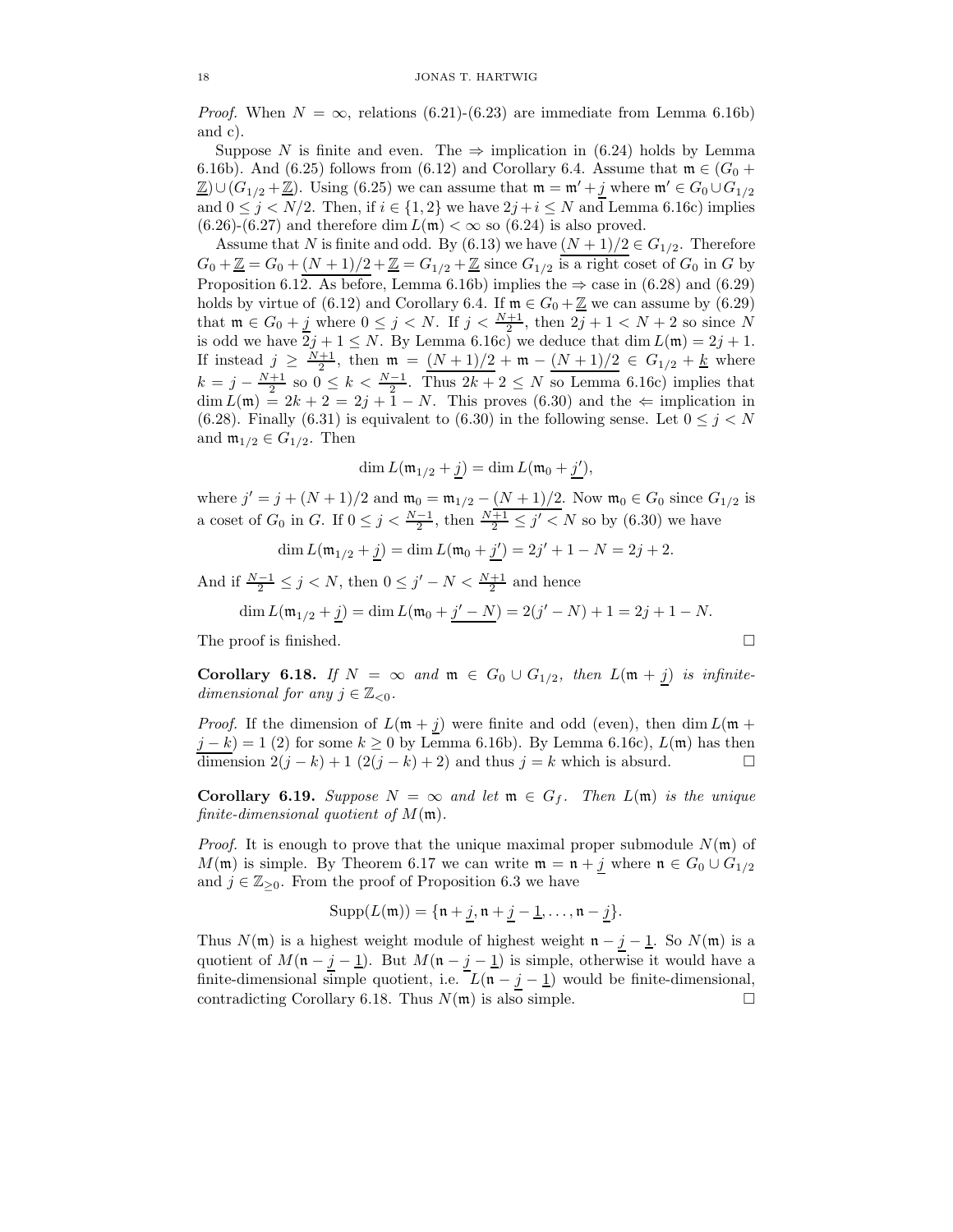*Proof.* When  $N = \infty$ , relations (6.21)-(6.23) are immediate from Lemma 6.16b) and c).

Suppose N is finite and even. The  $\Rightarrow$  implication in (6.24) holds by Lemma 6.16b). And (6.25) follows from (6.12) and Corollary 6.4. Assume that  $\mathfrak{m} \in (G_0 +$  $\underline{\mathbb{Z}}$ )∪( $G_{1/2} + \underline{\mathbb{Z}}$ ). Using (6.25) we can assume that  $\mathfrak{m} = \mathfrak{m}' + j$  where  $\mathfrak{m}' \in G_0 \cup G_{1/2}$ and  $0 \leq j \leq N/2$ . Then, if  $i \in \{1,2\}$  we have  $2j+i \leq N$  and Lemma 6.16c) implies  $(6.26)-(6.27)$  and therefore dim  $L(\mathfrak{m}) < \infty$  so  $(6.24)$  is also proved.

Assume that N is finite and odd. By (6.13) we have  $(N + 1)/2 \in G_{1/2}$ . Therefore  $G_0 + \underline{\mathbb{Z}} = G_0 + (N+1)/2 + \underline{\mathbb{Z}} = G_{1/2} + \underline{\mathbb{Z}}$  since  $G_{1/2}$  is a right coset of  $G_0$  in G by Proposition 6.12. As before, Lemma 6.16b) implies the  $\Rightarrow$  case in (6.28) and (6.29) holds by virtue of (6.12) and Corollary 6.4. If  $\mathfrak{m} \in G_0 + \underline{\mathbb{Z}}$  we can assume by (6.29) that  $\mathfrak{m} \in G_0 + \underline{j}$  where  $0 \leq j < N$ . If  $j < \frac{N+1}{2}$ , then  $2j + 1 < N + 2$  so since N is odd we have  $\overline{2}j + 1 \leq N$ . By Lemma 6.16c) we deduce that dim  $L(\mathfrak{m}) = 2j + 1$ . If instead  $j \geq \frac{N+1}{2}$ , then  $\mathfrak{m} = (N+1)/2 + \mathfrak{m} - (N+1)/2 \in G_{1/2} + k$  where  $k = j - \frac{N+1}{2}$  so  $0 \le k < \frac{N-1}{2}$ . Thus  $2k + 2 \le N$  so Lemma 6.16c) implies that  $\dim L(\mathfrak{m}) = 2k + 2 = 2j + 1 - N$ . This proves (6.30) and the  $\Leftarrow$  implication in (6.28). Finally (6.31) is equivalent to (6.30) in the following sense. Let  $0 \le j \le N$ and  $\mathfrak{m}_{1/2} \in G_{1/2}$ . Then

$$
\dim L(\mathfrak{m}_{1/2} + \underline{j}) = \dim L(\mathfrak{m}_0 + \underline{j}'),
$$

where  $j' = j + (N + 1)/2$  and  $\mathfrak{m}_0 = \mathfrak{m}_{1/2} - (N + 1)/2$ . Now  $\mathfrak{m}_0 \in G_0$  since  $G_{1/2}$  is a coset of  $G_0$  in  $G$ . If  $0 \le j < \frac{N-1}{2}$ , then  $\frac{N+1}{2} \le j' < N$  so by  $(6.30)$  we have

 $\dim L(\mathfrak{m}_{1/2} + \underline{j}) = \dim L(\mathfrak{m}_0 + \underline{j}') = 2\underline{j}' + 1 - N = 2\underline{j} + 2.$ 

And if  $\frac{N-1}{2} \leq j < N$ , then  $0 \leq j' - N < \frac{N+1}{2}$  and hence

$$
\dim L(\mathfrak{m}_{1/2} + \underline{j}) = \dim L(\mathfrak{m}_0 + \underline{j' - N}) = 2(j' - N) + 1 = 2j + 1 - N.
$$

The proof is finished.

Corollary 6.18. If  $N = \infty$  and  $\mathfrak{m} \in G_0 \cup G_{1/2}$ , then  $L(\mathfrak{m} + j)$  is infinitedimensional for any  $j \in \mathbb{Z}_{< 0}$ .

*Proof.* If the dimension of  $L(\mathfrak{m} + j)$  were finite and odd (even), then dim  $L(\mathfrak{m} + j)$  $j - k$ ) = 1 (2) for some  $k \ge 0$  by Lemma 6.16b). By Lemma 6.16c),  $L(\mathfrak{m})$  has then dimension  $2(j - k) + 1$  (2(j − k) + 2) and thus j = k which is absurd.  $□$ 

**Corollary 6.19.** Suppose  $N = \infty$  and let  $\mathfrak{m} \in G_f$ . Then  $L(\mathfrak{m})$  is the unique finite-dimensional quotient of  $M(\mathfrak{m})$ .

*Proof.* It is enough to prove that the unique maximal proper submodule  $N(\mathfrak{m})$  of M(m) is simple. By Theorem 6.17 we can write  $\mathfrak{m} = \mathfrak{n} + j$  where  $\mathfrak{n} \in G_0 \cup G_{1/2}$ and  $j \in \mathbb{Z}_{\geq 0}$ . From the proof of Proposition 6.3 we have

$$
Supp(L(\mathfrak{m})) = \{\mathfrak{n} + \underline{j}, \mathfrak{n} + \underline{j} - \underline{1}, \dots, \mathfrak{n} - \underline{j}\}.
$$

Thus  $N(\mathfrak{m})$  is a highest weight module of highest weight  $\mathfrak{n} - j - 1$ . So  $N(\mathfrak{m})$  is a quotient of  $M(\mathfrak{n} - \underline{j} - \underline{1})$ . But  $M(\mathfrak{n} - \underline{j} - \underline{1})$  is simple, otherwise it would have a finite-dimensional simple quotient, i.e.  $L(\mathfrak{n} - j - \underline{1})$  would be finite-dimensional, contradicting Corollary 6.18. Thus  $N(\mathfrak{m})$  is also simple.

$$
\Box
$$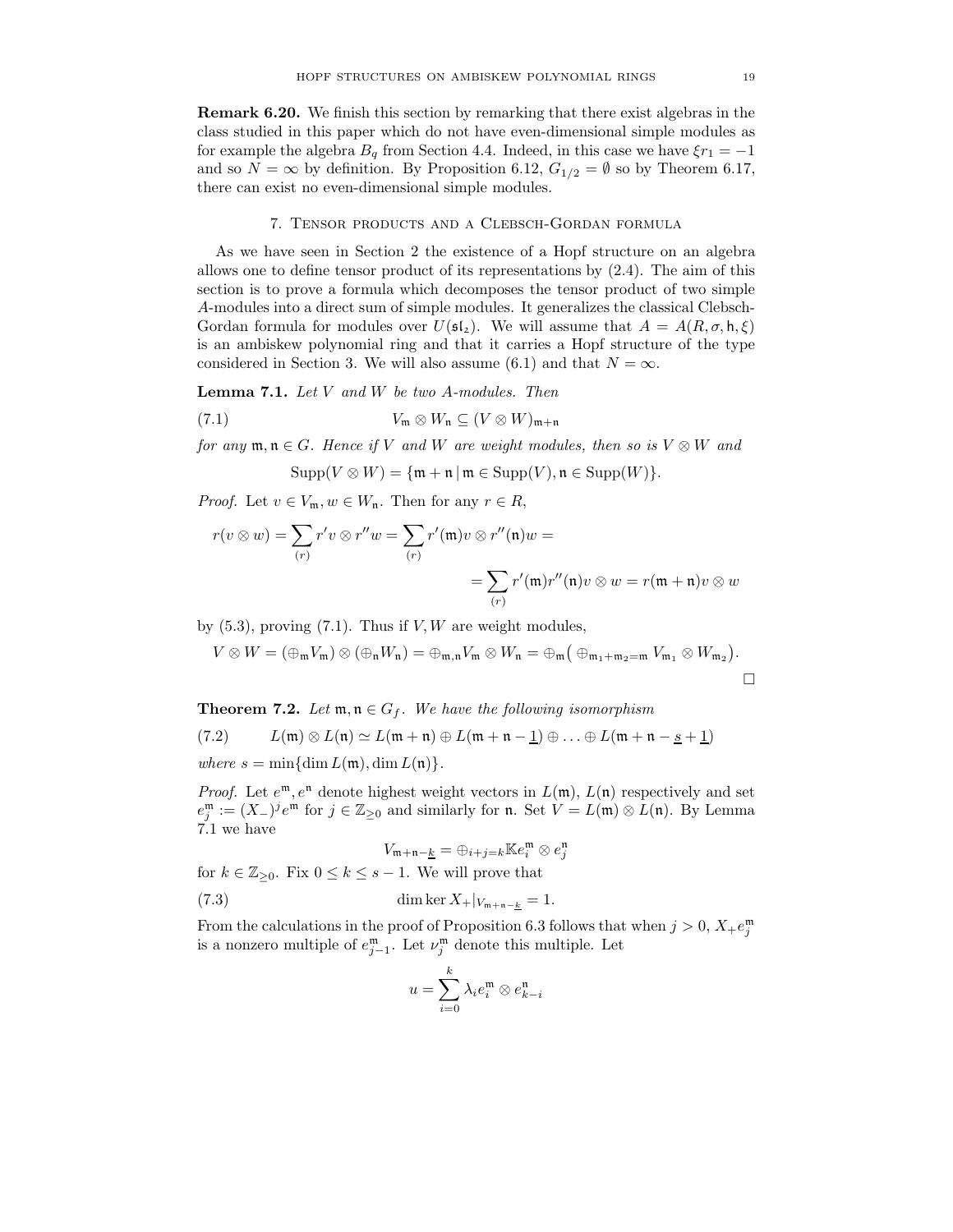Remark 6.20. We finish this section by remarking that there exist algebras in the class studied in this paper which do not have even-dimensional simple modules as for example the algebra  $B_q$  from Section 4.4. Indeed, in this case we have  $\xi r_1 = -1$ and so  $N = \infty$  by definition. By Proposition 6.12,  $G_{1/2} = \emptyset$  so by Theorem 6.17, there can exist no even-dimensional simple modules.

#### 7. Tensor products and a Clebsch-Gordan formula

As we have seen in Section 2 the existence of a Hopf structure on an algebra allows one to define tensor product of its representations by (2.4). The aim of this section is to prove a formula which decomposes the tensor product of two simple A-modules into a direct sum of simple modules. It generalizes the classical Clebsch-Gordan formula for modules over  $U(\mathfrak{sl}_2)$ . We will assume that  $A = A(R, \sigma, \mathsf{h}, \xi)$ is an ambiskew polynomial ring and that it carries a Hopf structure of the type considered in Section 3. We will also assume (6.1) and that  $N = \infty$ .

**Lemma 7.1.** Let  $V$  and  $W$  be two A-modules. Then

(7.1) 
$$
V_{\mathfrak{m}} \otimes W_{\mathfrak{n}} \subseteq (V \otimes W)_{\mathfrak{m}+\mathfrak{n}}
$$

for any  $\mathfrak{m}, \mathfrak{n} \in G$ . Hence if V and W are weight modules, then so is  $V \otimes W$  and

 $\text{Supp}(V \otimes W) = \{\mathfrak{m} + \mathfrak{n} \mid \mathfrak{m} \in \text{Supp}(V), \mathfrak{n} \in \text{Supp}(W)\}.$ 

*Proof.* Let  $v \in V_m$ ,  $w \in W_n$ . Then for any  $r \in R$ ,

$$
r(v \otimes w) = \sum_{(r)} r'v \otimes r''w = \sum_{(r)} r'(\mathfrak{m})v \otimes r''(\mathfrak{n})w =
$$
  
= 
$$
\sum_{(r)} r'(\mathfrak{m})r''(\mathfrak{n})v \otimes w = r(\mathfrak{m} + \mathfrak{n})v \otimes w
$$

by  $(5.3)$ , proving  $(7.1)$ . Thus if V, W are weight modules,

$$
V\otimes W=(\oplus_{\mathfrak{m}} V_{\mathfrak{m}})\otimes (\oplus_{\mathfrak{n}} W_{\mathfrak{n}})=\oplus_{\mathfrak{m},\mathfrak{n}} V_{\mathfrak{m}}\otimes W_{\mathfrak{n}}=\oplus_{\mathfrak{m}}\big(\oplus_{\mathfrak{m}_1+\mathfrak{m}_2=\mathfrak{m}} V_{\mathfrak{m}_1}\otimes W_{\mathfrak{m}_2}\big).
$$

**Theorem 7.2.** Let  $\mathfrak{m}, \mathfrak{n} \in G_f$ . We have the following isomorphism

$$
(7.2) \qquad L(\mathfrak{m}) \otimes L(\mathfrak{n}) \simeq L(\mathfrak{m} + \mathfrak{n}) \oplus L(\mathfrak{m} + \mathfrak{n} - \underline{1}) \oplus \ldots \oplus L(\mathfrak{m} + \mathfrak{n} - \underline{s} + \underline{1})
$$

where  $s = \min\{\dim L(\mathfrak{m}), \dim L(\mathfrak{n})\}.$ 

*Proof.* Let  $e^{\mathfrak{m}}$ ,  $e^{\mathfrak{n}}$  denote highest weight vectors in  $L(\mathfrak{m})$ ,  $L(\mathfrak{n})$  respectively and set  $e_j^{\mathfrak{m}} := (X_{-})^j e^{\mathfrak{m}}$  for  $j \in \mathbb{Z}_{\geq 0}$  and similarly for **n**. Set  $V = L(\mathfrak{m}) \otimes L(\mathfrak{n})$ . By Lemma 7.1 we have

$$
V_{\mathfrak{m}+\mathfrak{n}-\underline{k}} = \oplus_{i+j=k} \mathbb{K}e_i^{\mathfrak{m}} \otimes e_j^{\mathfrak{n}}
$$
  
for  $k \in \mathbb{Z}_{\geq 0}$ . Fix  $0 \leq k \leq s-1$ . We will prove that  
(7.3) dim ker  $X_+|_{V_{\mathfrak{m}+\mathfrak{n}-k}} = 1$ .

From the calculations in the proof of Proposition 6.3 follows that when  $j > 0$ ,  $X_+e_j^{\mathfrak{m}}$ is a nonzero multiple of  $e_{j-1}^{\mathfrak{m}}$ . Let  $\nu_j^{\mathfrak{m}}$  denote this multiple. Let

$$
u = \sum_{i=0}^{k} \lambda_i e_i^{\mathfrak{m}} \otimes e_{k-i}^{\mathfrak{n}}
$$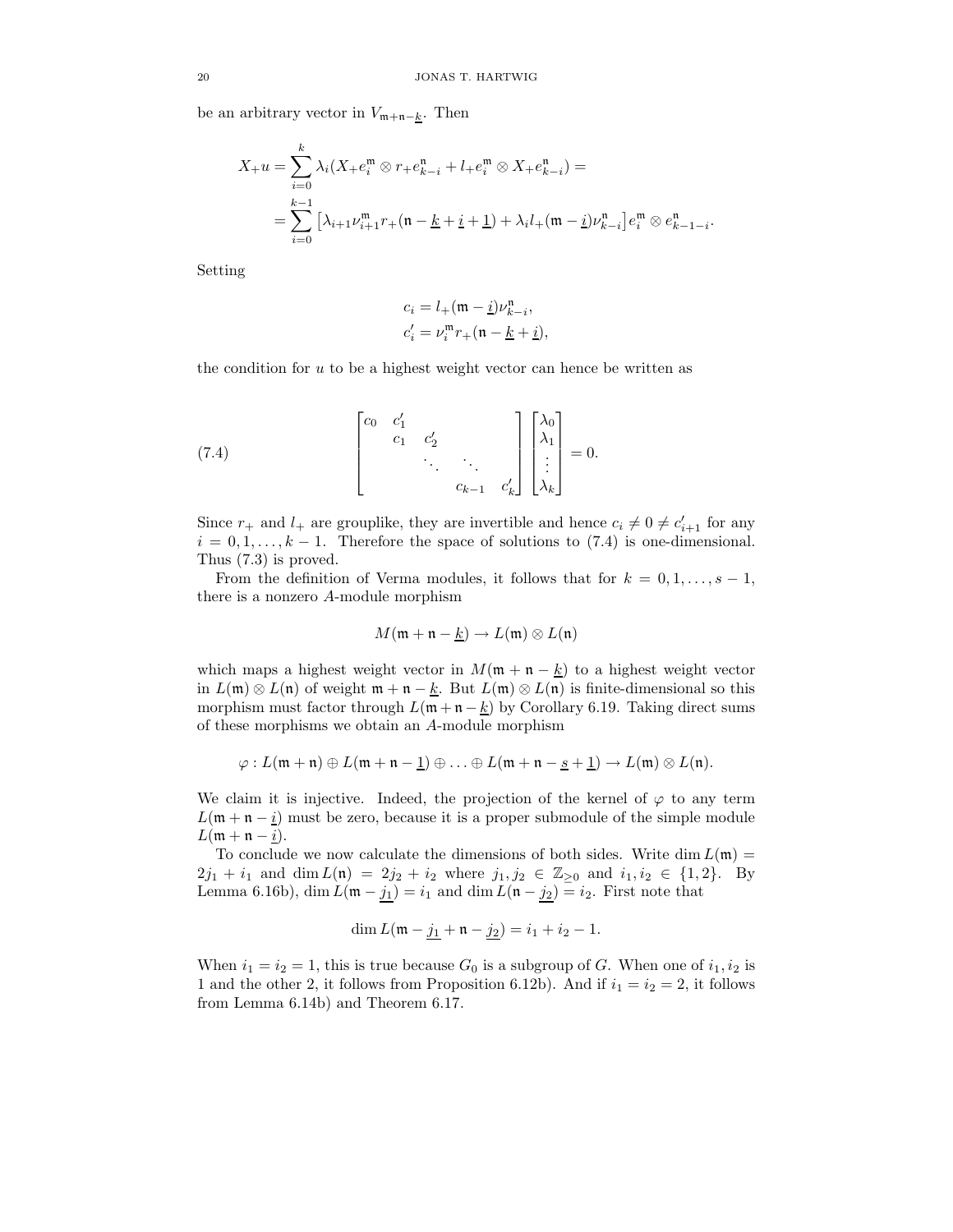be an arbitrary vector in  $V_{m+n-\underline{k}}$ . Then

$$
X_{+}u = \sum_{i=0}^{k} \lambda_{i} (X_{+}e_{i}^{m} \otimes r_{+}e_{k-i}^{n} + l_{+}e_{i}^{m} \otimes X_{+}e_{k-i}^{n}) =
$$
  
= 
$$
\sum_{i=0}^{k-1} [\lambda_{i+1} \nu_{i+1}^{m} r_{+} (n - \underline{k} + \underline{i} + \underline{1}) + \lambda_{i} l_{+} (m - \underline{i}) \nu_{k-i}^{n}] e_{i}^{m} \otimes e_{k-1-i}^{n}.
$$

Setting

$$
\begin{aligned} c_i &= l_+(\mathfrak{m}-\underline{i})\nu^n_{k-i}, \\ c'_i &= \nu^{\mathfrak{m}}_i r_+(\mathfrak{n}-\underline{k}+\underline{i}), \end{aligned}
$$

the condition for  $u$  to be a highest weight vector can hence be written as

(7.4) 
$$
\begin{bmatrix} c_0 & c'_1 & & & \\ & c_1 & c'_2 & & \\ & & \ddots & \ddots & \\ & & & c_{k-1} & c'_k \end{bmatrix} \begin{bmatrix} \lambda_0 \\ \lambda_1 \\ \vdots \\ \lambda_k \end{bmatrix} = 0.
$$

Since  $r_+$  and  $l_+$  are grouplike, they are invertible and hence  $c_i \neq 0 \neq c'_{i+1}$  for any  $i = 0, 1, \ldots, k - 1$ . Therefore the space of solutions to (7.4) is one-dimensional. Thus (7.3) is proved.

From the definition of Verma modules, it follows that for  $k = 0, 1, \ldots, s - 1$ , there is a nonzero A-module morphism

$$
M(\mathfrak{m} + \mathfrak{n} - \underline{k}) \to L(\mathfrak{m}) \otimes L(\mathfrak{n})
$$

which maps a highest weight vector in  $M(\mathfrak{m} + \mathfrak{n} - \underline{k})$  to a highest weight vector in  $L(\mathfrak{m}) \otimes L(\mathfrak{n})$  of weight  $\mathfrak{m} + \mathfrak{n} - \underline{k}$ . But  $L(\mathfrak{m}) \otimes L(\mathfrak{n})$  is finite-dimensional so this morphism must factor through  $L(\mathfrak{m} + \mathfrak{n} - \underline{k})$  by Corollary 6.19. Taking direct sums of these morphisms we obtain an A-module morphism

$$
\varphi: L(\mathfrak{m} + \mathfrak{n}) \oplus L(\mathfrak{m} + \mathfrak{n} - \underline{1}) \oplus \ldots \oplus L(\mathfrak{m} + \mathfrak{n} - \underline{s} + \underline{1}) \to L(\mathfrak{m}) \otimes L(\mathfrak{n}).
$$

We claim it is injective. Indeed, the projection of the kernel of  $\varphi$  to any term  $L(\mathfrak{m} + \mathfrak{n} - \underline{i})$  must be zero, because it is a proper submodule of the simple module  $L(\mathfrak{m} + \mathfrak{n} - \underline{i}).$ 

To conclude we now calculate the dimensions of both sides. Write dim  $L(\mathfrak{m}) =$  $2j_1 + i_1$  and dim  $L(\mathfrak{n}) = 2j_2 + i_2$  where  $j_1, j_2 \in \mathbb{Z}_{\geq 0}$  and  $i_1, i_2 \in \{1, 2\}$ . By Lemma 6.16b), dim  $L(\mathfrak{m} - j_1) = i_1$  and dim  $L(\mathfrak{n} - j_2) = i_2$ . First note that

$$
\dim L(\mathfrak{m} - \underline{j_1} + \mathfrak{n} - \underline{j_2}) = i_1 + i_2 - 1.
$$

When  $i_1 = i_2 = 1$ , this is true because  $G_0$  is a subgroup of G. When one of  $i_1, i_2$  is 1 and the other 2, it follows from Proposition 6.12b). And if  $i_1 = i_2 = 2$ , it follows from Lemma 6.14b) and Theorem 6.17.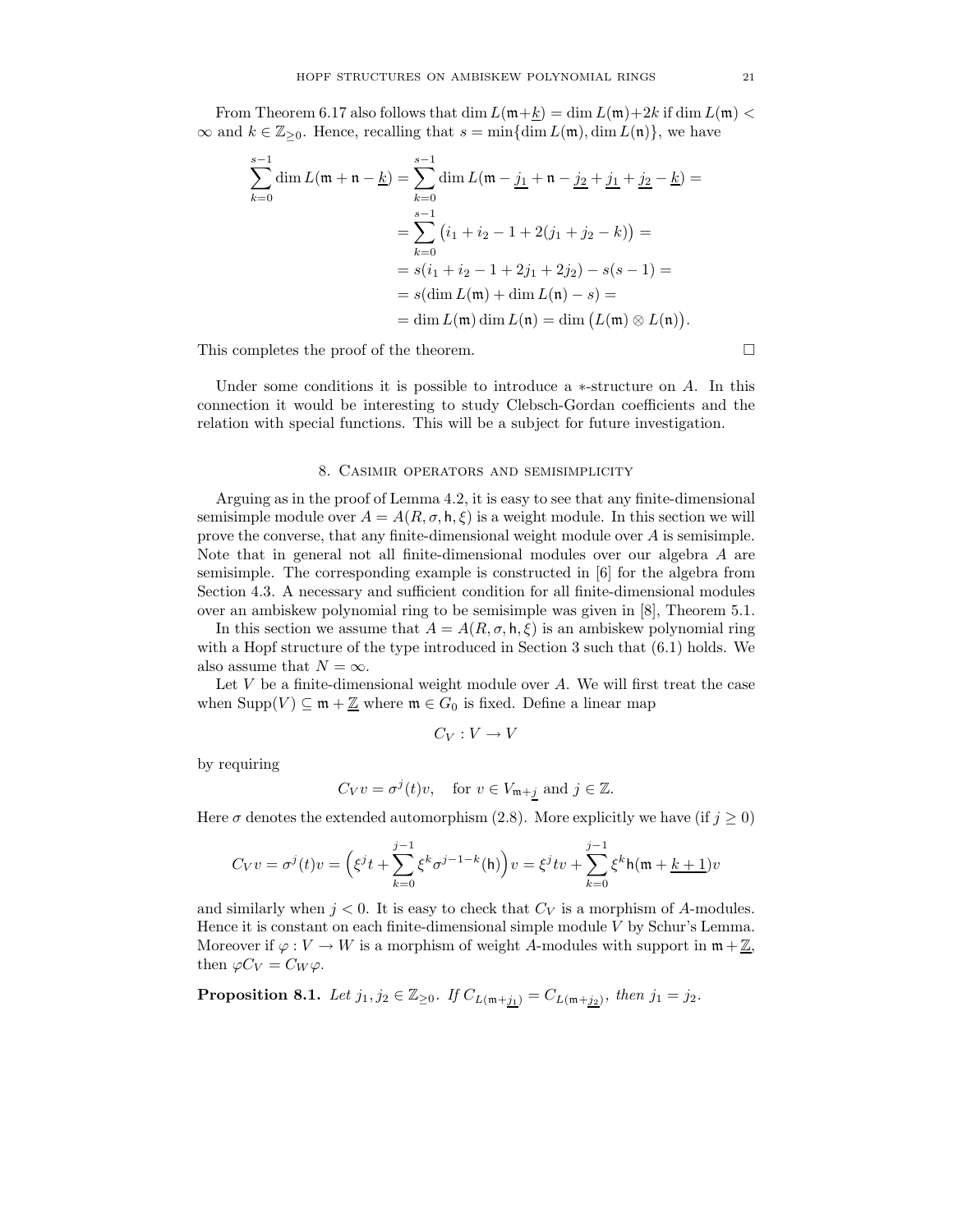From Theorem 6.17 also follows that dim  $L(\mathfrak{m}+\underline{k}) = \dim L(\mathfrak{m})+2k$  if dim  $L(\mathfrak{m}) <$  $\infty$  and  $k \in \mathbb{Z}_{\geq 0}$ . Hence, recalling that  $s = \min{\{\dim L(\mathfrak{m})\},\dim L(\mathfrak{n})\}}$ , we have

$$
\sum_{k=0}^{s-1} \dim L(\mathfrak{m} + \mathfrak{n} - \underline{k}) = \sum_{k=0}^{s-1} \dim L(\mathfrak{m} - \underline{j_1} + \mathfrak{n} - \underline{j_2} + \underline{j_1} + \underline{j_2} - \underline{k}) =
$$
  
= 
$$
\sum_{k=0}^{s-1} (i_1 + i_2 - 1 + 2(j_1 + j_2 - k)) =
$$
  
= 
$$
s(i_1 + i_2 - 1 + 2j_1 + 2j_2) - s(s - 1) =
$$
  
= 
$$
s(\dim L(\mathfrak{m}) + \dim L(\mathfrak{n}) - s) =
$$
  
= 
$$
\dim L(\mathfrak{m}) \dim L(\mathfrak{n}) = \dim (L(\mathfrak{m}) \otimes L(\mathfrak{n})).
$$

This completes the proof of the theorem.  $\Box$ 

Under some conditions it is possible to introduce a  $*$ -structure on A. In this connection it would be interesting to study Clebsch-Gordan coefficients and the relation with special functions. This will be a subject for future investigation.

#### 8. Casimir operators and semisimplicity

Arguing as in the proof of Lemma 4.2, it is easy to see that any finite-dimensional semisimple module over  $A = A(R, \sigma, \mathsf{h}, \xi)$  is a weight module. In this section we will prove the converse, that any finite-dimensional weight module over A is semisimple. Note that in general not all finite-dimensional modules over our algebra A are semisimple. The corresponding example is constructed in [6] for the algebra from Section 4.3. A necessary and sufficient condition for all finite-dimensional modules over an ambiskew polynomial ring to be semisimple was given in [8], Theorem 5.1.

In this section we assume that  $A = A(R, \sigma, h, \xi)$  is an ambiskew polynomial ring with a Hopf structure of the type introduced in Section 3 such that (6.1) holds. We also assume that  $N = \infty$ .

Let  $V$  be a finite-dimensional weight module over  $A$ . We will first treat the case when  $\text{Supp}(V) \subseteq \mathfrak{m} + \underline{\mathbb{Z}}$  where  $\mathfrak{m} \in G_0$  is fixed. Define a linear map

$$
C_V: V \to V
$$

by requiring

$$
C_V v = \sigma^j(t)v
$$
, for  $v \in V_{\mathfrak{m}+j}$  and  $j \in \mathbb{Z}$ .

Here  $\sigma$  denotes the extended automorphism (2.8). More explicitly we have (if  $j \geq 0$ )

$$
C_V v = \sigma^{j}(t)v = \left(\xi^{j}t + \sum_{k=0}^{j-1} \xi^{k} \sigma^{j-1-k}(\mathsf{h})\right)v = \xi^{j}tv + \sum_{k=0}^{j-1} \xi^{k} \mathsf{h}(\mathfrak{m} + \underline{k+1})v
$$

and similarly when  $j < 0$ . It is easy to check that  $C_V$  is a morphism of A-modules. Hence it is constant on each finite-dimensional simple module V by Schur's Lemma. Moreover if  $\varphi: V \to W$  is a morphism of weight A-modules with support in  $\mathfrak{m} + \underline{\mathbb{Z}}$ , then  $\varphi C_V = C_W \varphi$ .

**Proposition 8.1.** Let  $j_1, j_2 \in \mathbb{Z}_{\geq 0}$ . If  $C_{L(\mathfrak{m}+j_1)} = C_{L(\mathfrak{m}+j_2)}$ , then  $j_1 = j_2$ .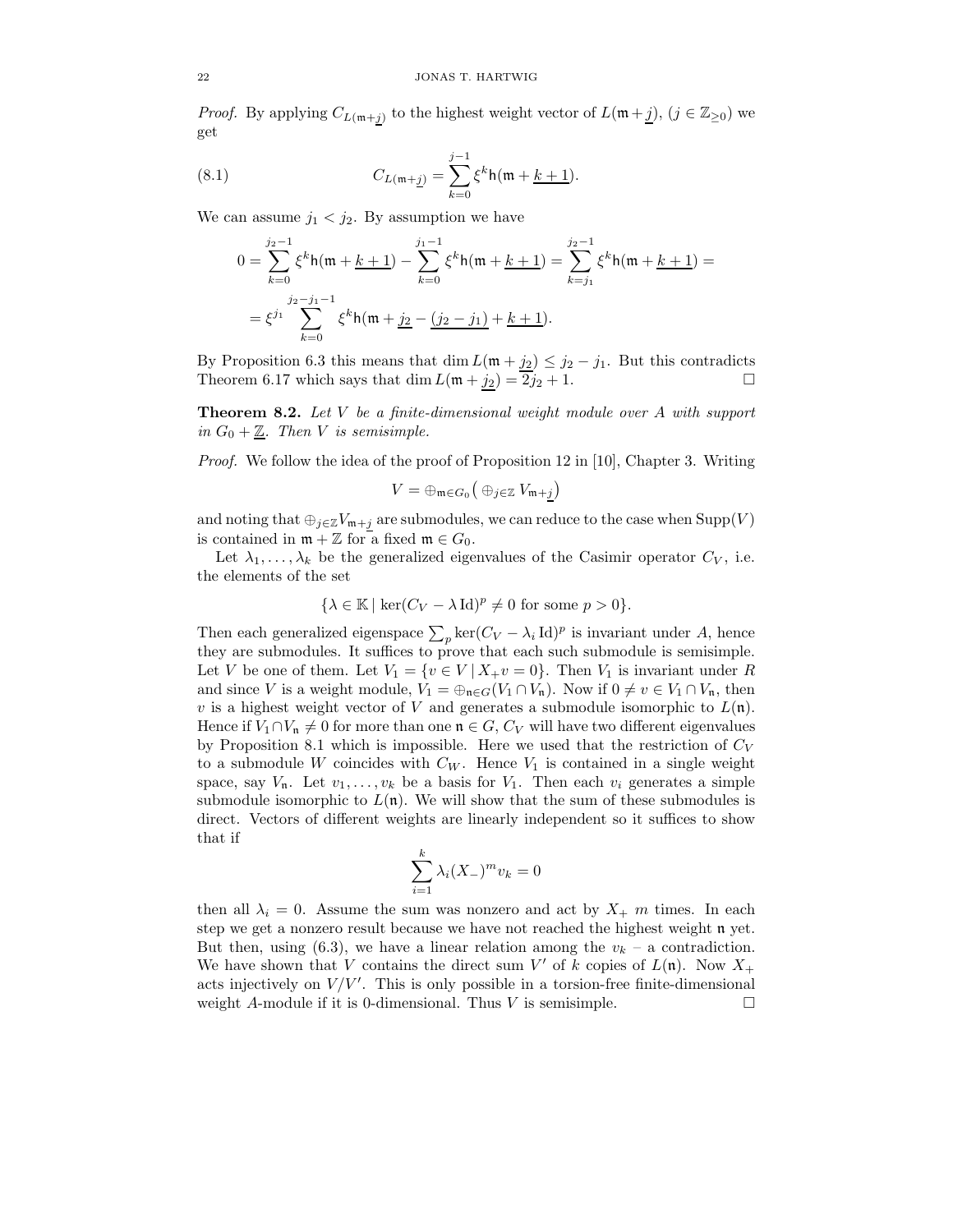*Proof.* By applying  $C_{L(\mathfrak{m}+j)}$  to the highest weight vector of  $L(\mathfrak{m}+j)$ ,  $(j \in \mathbb{Z}_{\geq 0})$  we get

(8.1) 
$$
C_{L(\mathfrak{m}+\underline{j})} = \sum_{k=0}^{j-1} \xi^k h(\mathfrak{m}+\underline{k+1}).
$$

We can assume  $j_1 < j_2$ . By assumption we have

$$
0 = \sum_{k=0}^{j_2-1} \xi^k h(\mathfrak{m} + \underline{k+1}) - \sum_{k=0}^{j_1-1} \xi^k h(\mathfrak{m} + \underline{k+1}) = \sum_{k=j_1}^{j_2-1} \xi^k h(\mathfrak{m} + \underline{k+1}) =
$$
  
=  $\xi^{j_1} \sum_{k=0}^{j_2-j_1-1} \xi^k h(\mathfrak{m} + \underline{j_2} - \underline{(j_2 - j_1)} + \underline{k+1}).$ 

By Proposition 6.3 this means that dim  $L(\mathfrak{m} + j_2) \leq j_2 - j_1$ . But this contradicts Theorem 6.17 which says that  $\dim L(\mathfrak{m} + j_2) = 2j_2 + 1$ .

**Theorem 8.2.** Let  $V$  be a finite-dimensional weight module over  $A$  with support in  $G_0 + \underline{\mathbb{Z}}$ . Then V is semisimple.

Proof. We follow the idea of the proof of Proposition 12 in [10], Chapter 3. Writing

$$
V=\oplus_{\mathfrak{m}\in G_0}\big(\oplus_{j\in\mathbb{Z}}V_{\mathfrak{m}+j}\big)
$$

and noting that  $\oplus_{j\in\mathbb{Z}}V_{\mathfrak{m}+j}$  are submodules, we can reduce to the case when  $\text{Supp}(V)$ is contained in  $\mathfrak{m} + \mathbb{Z}$  for a fixed  $\mathfrak{m} \in G_0$ .

Let  $\lambda_1, \ldots, \lambda_k$  be the generalized eigenvalues of the Casimir operator  $C_V$ , i.e. the elements of the set

$$
\{\lambda \in \mathbb{K} \mid \ker(C_V - \lambda \operatorname{Id})^p \neq 0 \text{ for some } p > 0\}.
$$

Then each generalized eigenspace  $\sum_{p} \ker(C_V - \lambda_i \operatorname{Id})^p$  is invariant under A, hence they are submodules. It suffices to prove that each such submodule is semisimple. Let V be one of them. Let  $V_1 = \{v \in V \mid X_+v = 0\}$ . Then  $V_1$  is invariant under R and since V is a weight module,  $V_1 = \bigoplus_{\mathfrak{n} \in G} (V_1 \cap V_{\mathfrak{n}})$ . Now if  $0 \neq v \in V_1 \cap V_{\mathfrak{n}}$ , then v is a highest weight vector of V and generates a submodule isomorphic to  $L(\mathfrak{n})$ . Hence if  $V_1 \cap V_n \neq 0$  for more than one  $\mathfrak{n} \in G$ ,  $C_V$  will have two different eigenvalues by Proposition 8.1 which is impossible. Here we used that the restriction of  $C_V$ to a submodule W coincides with  $C_W$ . Hence  $V_1$  is contained in a single weight space, say  $V_n$ . Let  $v_1, \ldots, v_k$  be a basis for  $V_1$ . Then each  $v_i$  generates a simple submodule isomorphic to  $L(n)$ . We will show that the sum of these submodules is direct. Vectors of different weights are linearly independent so it suffices to show that if

$$
\sum_{i=1}^{k} \lambda_i (X_-)^m v_k = 0
$$

then all  $\lambda_i = 0$ . Assume the sum was nonzero and act by  $X_+$  m times. In each step we get a nonzero result because we have not reached the highest weight n yet. But then, using (6.3), we have a linear relation among the  $v_k$  – a contradiction. We have shown that V contains the direct sum V' of k copies of  $L(\mathfrak{n})$ . Now  $X_+$ acts injectively on  $V/V'$ . This is only possible in a torsion-free finite-dimensional weight A-module if it is 0-dimensional. Thus V is semisimple.  $\Box$